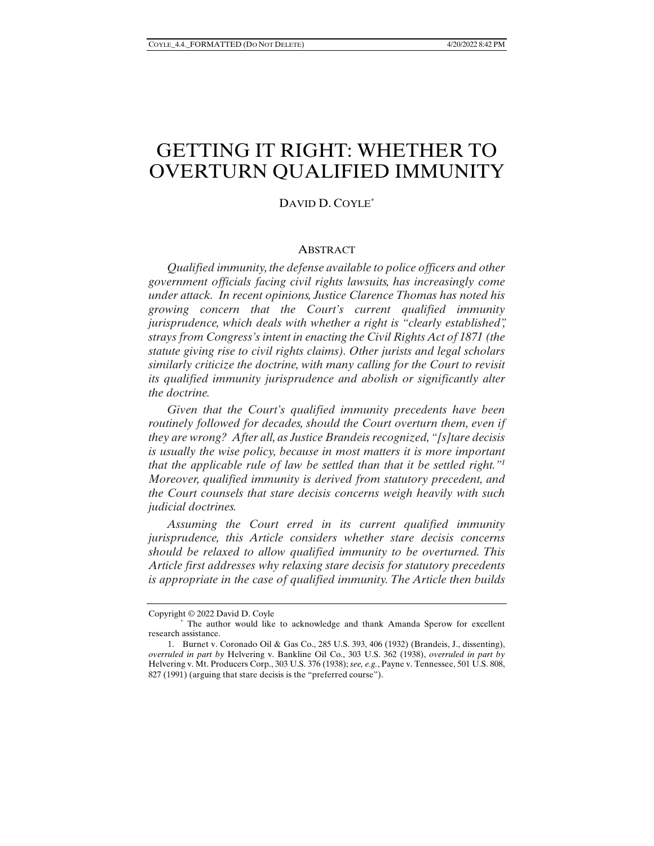# GETTING IT RIGHT: WHETHER TO OVERTURN QUALIFIED IMMUNITY

## DAVID D. COYLE\*

#### **ABSTRACT**

*Qualified immunity, the defense available to police officers and other government officials facing civil rights lawsuits, has increasingly come under attack. In recent opinions, Justice Clarence Thomas has noted his growing concern that the Court's current qualified immunity jurisprudence, which deals with whether a right is "clearly established", strays from Congress's intent in enacting the Civil Rights Act of 1871 (the statute giving rise to civil rights claims). Other jurists and legal scholars similarly criticize the doctrine, with many calling for the Court to revisit its qualified immunity jurisprudence and abolish or significantly alter the doctrine.*

*Given that the Court's qualified immunity precedents have been routinely followed for decades, should the Court overturn them, even if they are wrong? After all, as Justice Brandeis recognized, "[s]tare decisis is usually the wise policy, because in most matters it is more important that the applicable rule of law be settled than that it be settled right."1 Moreover, qualified immunity is derived from statutory precedent, and the Court counsels that stare decisis concerns weigh heavily with such judicial doctrines.*

*Assuming the Court erred in its current qualified immunity jurisprudence, this Article considers whether stare decisis concerns should be relaxed to allow qualified immunity to be overturned. This Article first addresses why relaxing stare decisis for statutory precedents is appropriate in the case of qualified immunity. The Article then builds* 

Copyright © 2022 David D. Coyle

 <sup>\*</sup> The author would like to acknowledge and thank Amanda Sperow for excellent research assistance.

 <sup>1.</sup> Burnet v. Coronado Oil & Gas Co., 285 U.S. 393, 406 (1932) (Brandeis, J., dissenting), *overruled in part by* Helvering v. Bankline Oil Co., 303 U.S. 362 (1938), *overruled in part by* Helvering v. Mt. Producers Corp., 303 U.S. 376 (1938); *see, e.g.*, Payne v. Tennessee, 501 U.S. 808, 827 (1991) (arguing that stare decisis is the "preferred course").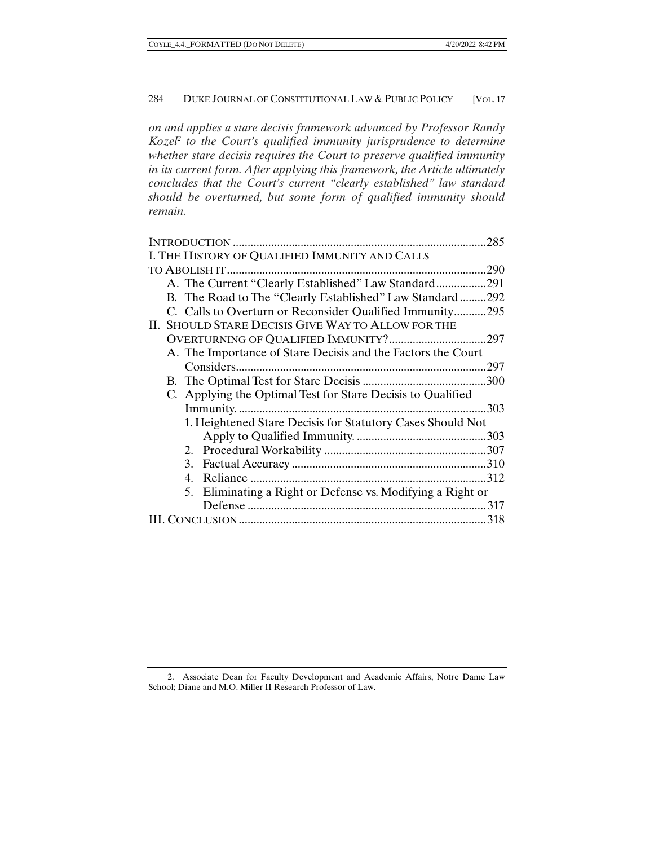*on and applies a stare decisis framework advanced by Professor Randy*  Kozel<sup>2</sup> to the Court's qualified immunity jurisprudence to determine *whether stare decisis requires the Court to preserve qualified immunity in its current form. After applying this framework, the Article ultimately concludes that the Court's current "clearly established" law standard should be overturned, but some form of qualified immunity should remain.* 

| .285                                                         |
|--------------------------------------------------------------|
| I. THE HISTORY OF QUALIFIED IMMUNITY AND CALLS               |
| .290                                                         |
| A. The Current "Clearly Established" Law Standard291         |
| B. The Road to The "Clearly Established" Law Standard292     |
| C. Calls to Overturn or Reconsider Qualified Immunity295     |
| II. SHOULD STARE DECISIS GIVE WAY TO ALLOW FOR THE           |
| .297                                                         |
| A. The Importance of Stare Decisis and the Factors the Court |
|                                                              |
|                                                              |
| C. Applying the Optimal Test for Stare Decisis to Qualified  |
| .303                                                         |
| 1. Heightened Stare Decisis for Statutory Cases Should Not   |
|                                                              |
|                                                              |
|                                                              |
|                                                              |
| 5. Eliminating a Right or Defense vs. Modifying a Right or   |
|                                                              |
| 318                                                          |

 <sup>2.</sup> Associate Dean for Faculty Development and Academic Affairs, Notre Dame Law School; Diane and M.O. Miller II Research Professor of Law.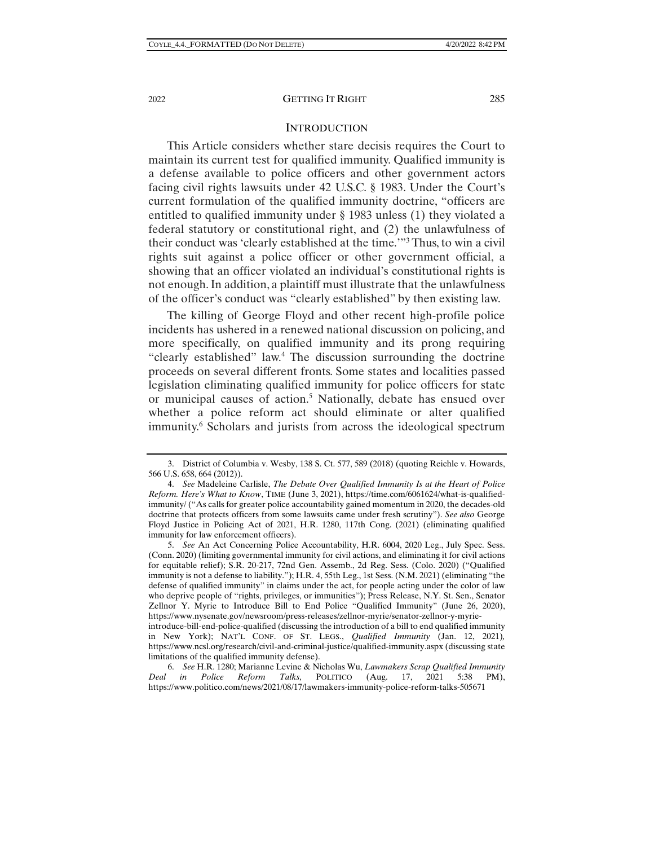#### **INTRODUCTION**

This Article considers whether stare decisis requires the Court to maintain its current test for qualified immunity. Qualified immunity is a defense available to police officers and other government actors facing civil rights lawsuits under 42 U.S.C. § 1983. Under the Court's current formulation of the qualified immunity doctrine, "officers are entitled to qualified immunity under § 1983 unless (1) they violated a federal statutory or constitutional right, and (2) the unlawfulness of their conduct was 'clearly established at the time.'"3 Thus, to win a civil rights suit against a police officer or other government official, a showing that an officer violated an individual's constitutional rights is not enough. In addition, a plaintiff must illustrate that the unlawfulness of the officer's conduct was "clearly established" by then existing law.

The killing of George Floyd and other recent high-profile police incidents has ushered in a renewed national discussion on policing, and more specifically, on qualified immunity and its prong requiring "clearly established" law.<sup>4</sup> The discussion surrounding the doctrine proceeds on several different fronts. Some states and localities passed legislation eliminating qualified immunity for police officers for state or municipal causes of action.<sup>5</sup> Nationally, debate has ensued over whether a police reform act should eliminate or alter qualified immunity.<sup>6</sup> Scholars and jurists from across the ideological spectrum

 <sup>3.</sup> District of Columbia v. Wesby, 138 S. Ct. 577, 589 (2018) (quoting Reichle v. Howards, 566 U.S. 658, 664 (2012)).

 <sup>4.</sup> *See* Madeleine Carlisle, *The Debate Over Qualified Immunity Is at the Heart of Police Reform. Here's What to Know*, TIME (June 3, 2021), https://time.com/6061624/what-is-qualifiedimmunity/ ("As calls for greater police accountability gained momentum in 2020, the decades-old doctrine that protects officers from some lawsuits came under fresh scrutiny"). *See also* George Floyd Justice in Policing Act of 2021, H.R. 1280, 117th Cong. (2021) (eliminating qualified immunity for law enforcement officers).

 <sup>5.</sup> *See* An Act Concerning Police Accountability, H.R. 6004, 2020 Leg., July Spec. Sess. (Conn. 2020) (limiting governmental immunity for civil actions, and eliminating it for civil actions for equitable relief); S.R. 20-217, 72nd Gen. Assemb., 2d Reg. Sess. (Colo. 2020) ("Qualified immunity is not a defense to liability."); H.R. 4, 55th Leg., 1st Sess. (N.M. 2021) (eliminating "the defense of qualified immunity" in claims under the act, for people acting under the color of law who deprive people of "rights, privileges, or immunities"); Press Release, N.Y. St. Sen., Senator Zellnor Y. Myrie to Introduce Bill to End Police "Qualified Immunity" (June 26, 2020), https://www.nysenate.gov/newsroom/press-releases/zellnor-myrie/senator-zellnor-y-myrie-

introduce-bill-end-police-qualified (discussing the introduction of a bill to end qualified immunity in New York); NAT'L CONF. OF ST. LEGS., *Qualified Immunity* (Jan. 12, 2021)*,*  https://www.ncsl.org/research/civil-and-criminal-justice/qualified-immunity.aspx (discussing state limitations of the qualified immunity defense).

 <sup>6.</sup> *See* H.R. 1280; Marianne Levine & Nicholas Wu, *Lawmakers Scrap Qualified Immunity Deal in Police Reform Talks,* POLITICO (Aug. 17, 2021 5:38 PM), https://www.politico.com/news/2021/08/17/lawmakers-immunity-police-reform-talks-505671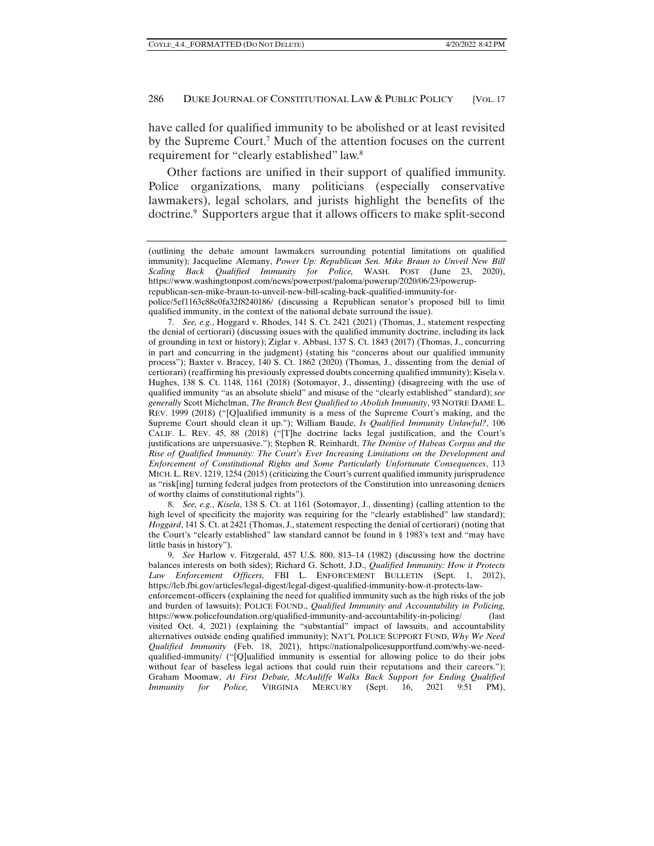have called for qualified immunity to be abolished or at least revisited by the Supreme Court.<sup>7</sup> Much of the attention focuses on the current requirement for "clearly established" law.<sup>8</sup>

Other factions are unified in their support of qualified immunity. Police organizations, many politicians (especially conservative lawmakers), legal scholars, and jurists highlight the benefits of the doctrine.<sup>9</sup> Supporters argue that it allows officers to make split-second

 7. *See, e.g.*, Hoggard v. Rhodes, 141 S. Ct. 2421 (2021) (Thomas, J., statement respecting the denial of certiorari) (discussing issues with the qualified immunity doctrine, including its lack of grounding in text or history); Ziglar v. Abbasi, 137 S. Ct. 1843 (2017) (Thomas, J., concurring in part and concurring in the judgment) (stating his "concerns about our qualified immunity process"); Baxter v. Bracey, 140 S. Ct. 1862 (2020) (Thomas, J., dissenting from the denial of certiorari) (reaffirming his previously expressed doubts concerning qualified immunity); Kisela v. Hughes, 138 S. Ct. 1148, 1161 (2018) (Sotomayor, J., dissenting) (disagreeing with the use of qualified immunity "as an absolute shield" and misuse of the "clearly established" standard); *see generally* Scott Michelman, *The Branch Best Qualified to Abolish Immunity*, 93 NOTRE DAME L. REV. 1999 (2018) ("[Q]ualified immunity is a mess of the Supreme Court's making, and the Supreme Court should clean it up."); William Baude, *Is Qualified Immunity Unlawful?*, 106 CALIF. L. REV. 45, 88 (2018) ("[T]he doctrine lacks legal justification, and the Court's justifications are unpersuasive."); Stephen R. Reinhardt, *The Demise of Habeas Corpus and the Rise of Qualified Immunity: The Court's Ever Increasing Limitations on the Development and Enforcement of Constitutional Rights and Some Particularly Unfortunate Consequences*, 113 MICH. L. REV. 1219, 1254 (2015) (criticizing the Court's current qualified immunity jurisprudence as "risk[ing] turning federal judges from protectors of the Constitution into unreasoning deniers of worthy claims of constitutional rights").

 8. *See, e.g.*, *Kisela*, 138 S. Ct. at 1161 (Sotomayor, J., dissenting) (calling attention to the high level of specificity the majority was requiring for the "clearly established" law standard); *Hoggard*, 141 S. Ct. at 2421 (Thomas, J., statement respecting the denial of certiorari) (noting that the Court's "clearly established" law standard cannot be found in § 1983's text and "may have little basis in history").

 9. *See* Harlow v. Fitzgerald, 457 U.S. 800, 813–14 (1982) (discussing how the doctrine balances interests on both sides); Richard G. Schott, J.D., *Qualified Immunity: How it Protects Law Enforcement Officers,* FBI L. ENFORCEMENT BULLETIN (Sept. 1, 2012), https://leb.fbi.gov/articles/legal-digest/legal-digest-qualified-immunity-how-it-protects-lawenforcement-officers (explaining the need for qualified immunity such as the high risks of the job and burden of lawsuits); POLICE FOUND., *Qualified Immunity and Accountability in Policing,*  https://www.policefoundation.org/qualified-immunity-and-accountability-in-policing/ (last visited Oct. 4, 2021) (explaining the "substantial" impact of lawsuits, and accountability alternatives outside ending qualified immunity); NAT'L POLICE SUPPORT FUND, *Why We Need Qualified Immunity* (Feb. 18, 2021), https://nationalpolicesupportfund.com/why-we-needqualified-immunity/ ("[Q]ualified immunity is essential for allowing police to do their jobs without fear of baseless legal actions that could ruin their reputations and their careers."); Graham Moomaw, *At First Debate, McAuliffe Walks Back Support for Ending Qualified Immunity for Police,* VIRGINIA MERCURY (Sept. 16, 2021 9:51 PM),

<sup>(</sup>outlining the debate amount lawmakers surrounding potential limitations on qualified immunity); Jacqueline Alemany, *Power Up: Republican Sen. Mike Braun to Unveil New Bill Scaling Back Qualified Immunity for Police,* WASH. POST (June 23, 2020), https://www.washingtonpost.com/news/powerpost/paloma/powerup/2020/06/23/poweruprepublican-sen-mike-braun-to-unveil-new-bill-scaling-back-qualified-immunity-for-

police/5ef1163c88e0fa32f8240186/ (discussing a Republican senator's proposed bill to limit qualified immunity, in the context of the national debate surround the issue).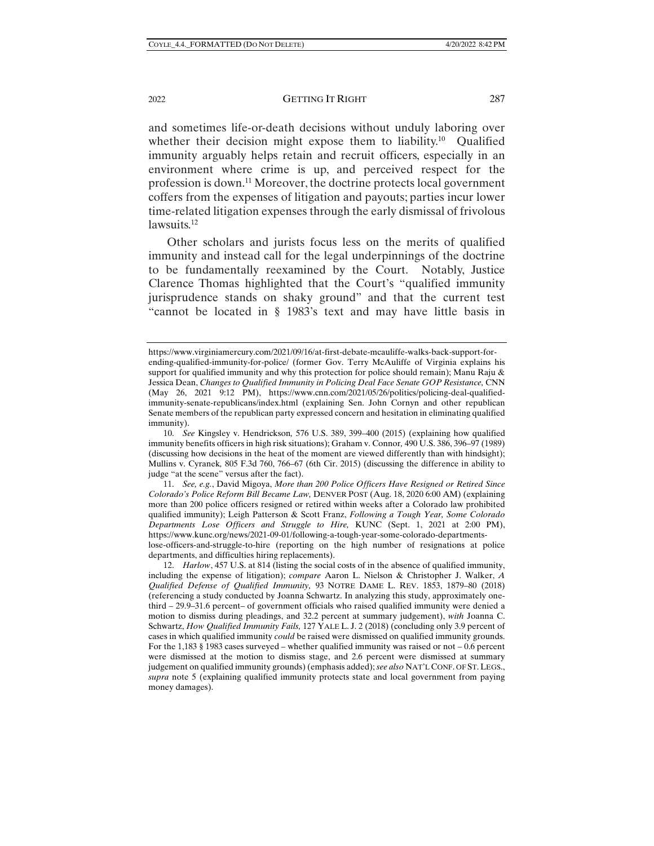and sometimes life-or-death decisions without unduly laboring over whether their decision might expose them to liability.<sup>10</sup> Qualified immunity arguably helps retain and recruit officers, especially in an environment where crime is up, and perceived respect for the profession is down.11 Moreover, the doctrine protects local government coffers from the expenses of litigation and payouts; parties incur lower time-related litigation expenses through the early dismissal of frivolous lawsuits.<sup>12</sup>

Other scholars and jurists focus less on the merits of qualified immunity and instead call for the legal underpinnings of the doctrine to be fundamentally reexamined by the Court. Notably, Justice Clarence Thomas highlighted that the Court's "qualified immunity jurisprudence stands on shaky ground" and that the current test "cannot be located in § 1983's text and may have little basis in

https://www.virginiamercury.com/2021/09/16/at-first-debate-mcauliffe-walks-back-support-forending-qualified-immunity-for-police/ (former Gov. Terry McAuliffe of Virginia explains his support for qualified immunity and why this protection for police should remain); Manu Raju & Jessica Dean, *Changes to Qualified Immunity in Policing Deal Face Senate GOP Resistance,* CNN (May 26, 2021 9:12 PM), https://www.cnn.com/2021/05/26/politics/policing-deal-qualifiedimmunity-senate-republicans/index.html (explaining Sen. John Cornyn and other republican Senate members of the republican party expressed concern and hesitation in eliminating qualified immunity).

 <sup>10.</sup> *See* Kingsley v. Hendrickson*,* 576 U.S. 389, 399–400 (2015) (explaining how qualified immunity benefits officers in high risk situations); Graham v. Connor*,* 490 U.S. 386, 396–97 (1989) (discussing how decisions in the heat of the moment are viewed differently than with hindsight); Mullins v. Cyranek*,* 805 F.3d 760, 766–67 (6th Cir. 2015) (discussing the difference in ability to judge "at the scene" versus after the fact).

 <sup>11.</sup> *See, e.g.*, David Migoya, *More than 200 Police Officers Have Resigned or Retired Since Colorado's Police Reform Bill Became Law,* DENVER POST (Aug. 18, 2020 6:00 AM) (explaining more than 200 police officers resigned or retired within weeks after a Colorado law prohibited qualified immunity); Leigh Patterson & Scott Franz, *Following a Tough Year, Some Colorado Departments Lose Officers and Struggle to Hire,* KUNC (Sept. 1, 2021 at 2:00 PM), https://www.kunc.org/news/2021-09-01/following-a-tough-year-some-colorado-departmentslose-officers-and-struggle-to-hire (reporting on the high number of resignations at police departments, and difficulties hiring replacements).

 <sup>12.</sup> *Harlow*, 457 U.S. at 814 (listing the social costs of in the absence of qualified immunity, including the expense of litigation); *compare* Aaron L. Nielson & Christopher J. Walker, *A Qualified Defense of Qualified Immunity,* 93 NOTRE DAME L. REV. 1853, 1879–80 (2018) (referencing a study conducted by Joanna Schwartz. In analyzing this study, approximately onethird – 29.9–31.6 percent– of government officials who raised qualified immunity were denied a motion to dismiss during pleadings, and 32.2 percent at summary judgement), *with* Joanna C. Schwartz, *How Qualified Immunity Fails,* 127 YALE L. J. 2 (2018) (concluding only 3.9 percent of cases in which qualified immunity *could* be raised were dismissed on qualified immunity grounds. For the 1,183 § 1983 cases surveyed – whether qualified immunity was raised or not – 0.6 percent were dismissed at the motion to dismiss stage, and 2.6 percent were dismissed at summary judgement on qualified immunity grounds) (emphasis added); *see also* NAT'L CONF. OF ST.LEGS., *supra* note 5 (explaining qualified immunity protects state and local government from paying money damages).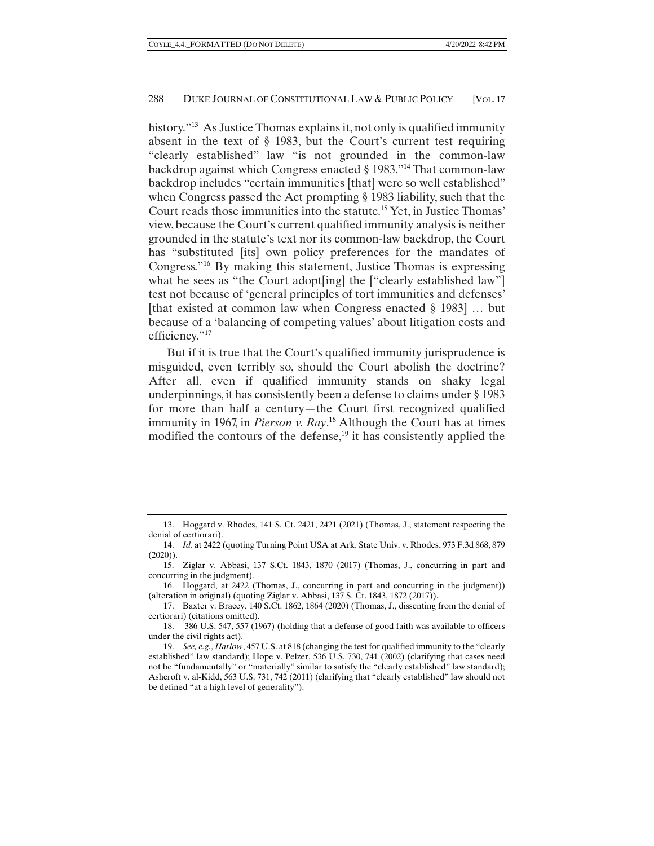history.<sup>"13</sup> As Justice Thomas explains it, not only is qualified immunity absent in the text of § 1983, but the Court's current test requiring "clearly established" law "is not grounded in the common-law backdrop against which Congress enacted § 1983."14 That common-law backdrop includes "certain immunities [that] were so well established" when Congress passed the Act prompting § 1983 liability, such that the Court reads those immunities into the statute.15 Yet, in Justice Thomas' view, because the Court's current qualified immunity analysis is neither grounded in the statute's text nor its common-law backdrop, the Court has "substituted [its] own policy preferences for the mandates of Congress."16 By making this statement, Justice Thomas is expressing what he sees as "the Court adopt[ing] the ["clearly established law"] test not because of 'general principles of tort immunities and defenses' [that existed at common law when Congress enacted § 1983] … but because of a 'balancing of competing values' about litigation costs and efficiency."<sup>17</sup>

But if it is true that the Court's qualified immunity jurisprudence is misguided, even terribly so, should the Court abolish the doctrine? After all, even if qualified immunity stands on shaky legal underpinnings, it has consistently been a defense to claims under § 1983 for more than half a century—the Court first recognized qualified immunity in 1967, in *Pierson v. Ray*. 18 Although the Court has at times modified the contours of the defense,<sup>19</sup> it has consistently applied the

 <sup>13.</sup> Hoggard v. Rhodes, 141 S. Ct. 2421, 2421 (2021) (Thomas, J., statement respecting the denial of certiorari).

 <sup>14.</sup> *Id.* at 2422 (quoting Turning Point USA at Ark. State Univ. v. Rhodes, 973 F.3d 868, 879 (2020)).

 <sup>15.</sup> Ziglar v. Abbasi, 137 S.Ct. 1843, 1870 (2017) (Thomas, J., concurring in part and concurring in the judgment).

 <sup>16.</sup> Hoggard, at 2422 (Thomas, J., concurring in part and concurring in the judgment)) (alteration in original) (quoting Ziglar v. Abbasi, 137 S. Ct. 1843, 1872 (2017)).

 <sup>17.</sup> Baxter v. Bracey, 140 S.Ct. 1862, 1864 (2020) (Thomas, J., dissenting from the denial of certiorari) (citations omitted).

 <sup>18. 386</sup> U.S. 547, 557 (1967) (holding that a defense of good faith was available to officers under the civil rights act).

 <sup>19.</sup> *See, e.g.*, *Harlow*, 457 U.S. at 818 (changing the test for qualified immunity to the "clearly established" law standard); Hope v. Pelzer, 536 U.S. 730, 741 (2002) (clarifying that cases need not be "fundamentally" or "materially" similar to satisfy the "clearly established" law standard); Ashcroft v. al-Kidd, 563 U.S. 731, 742 (2011) (clarifying that "clearly established" law should not be defined "at a high level of generality").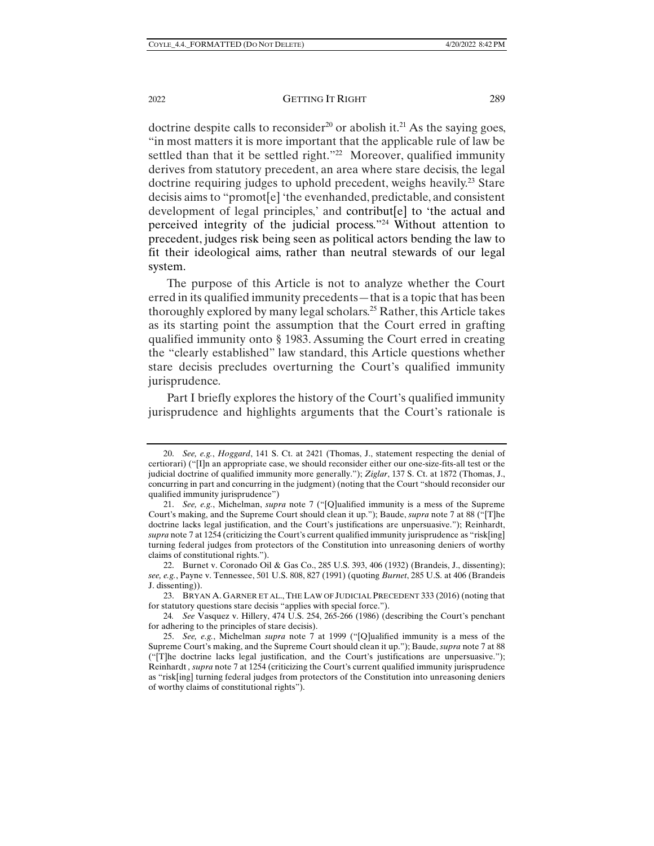doctrine despite calls to reconsider<sup>20</sup> or abolish it.<sup>21</sup> As the saying goes, "in most matters it is more important that the applicable rule of law be settled than that it be settled right."<sup>22</sup> Moreover, qualified immunity derives from statutory precedent, an area where stare decisis, the legal doctrine requiring judges to uphold precedent, weighs heavily.<sup>23</sup> Stare decisis aims to "promot[e] 'the evenhanded, predictable, and consistent development of legal principles,' and contribut[e] to 'the actual and perceived integrity of the judicial process."24 Without attention to precedent, judges risk being seen as political actors bending the law to fit their ideological aims, rather than neutral stewards of our legal system.

The purpose of this Article is not to analyze whether the Court erred in its qualified immunity precedents—that is a topic that has been thoroughly explored by many legal scholars.25 Rather, this Article takes as its starting point the assumption that the Court erred in grafting qualified immunity onto § 1983. Assuming the Court erred in creating the "clearly established" law standard, this Article questions whether stare decisis precludes overturning the Court's qualified immunity jurisprudence.

Part I briefly explores the history of the Court's qualified immunity jurisprudence and highlights arguments that the Court's rationale is

 <sup>20.</sup> *See, e.g.*, *Hoggard*, 141 S. Ct. at 2421 (Thomas, J., statement respecting the denial of certiorari) ("[I]n an appropriate case, we should reconsider either our one-size-fits-all test or the judicial doctrine of qualified immunity more generally."); *Ziglar*, 137 S. Ct. at 1872 (Thomas, J., concurring in part and concurring in the judgment) (noting that the Court "should reconsider our qualified immunity jurisprudence")

 <sup>21.</sup> *See, e.g.*, Michelman, *supra* note 7 ("[Q]ualified immunity is a mess of the Supreme Court's making, and the Supreme Court should clean it up."); Baude, *supra* note 7 at 88 ("[T]he doctrine lacks legal justification, and the Court's justifications are unpersuasive."); Reinhardt, *supra* note 7 at 1254 (criticizing the Court's current qualified immunity jurisprudence as "risk[ing] turning federal judges from protectors of the Constitution into unreasoning deniers of worthy claims of constitutional rights.").

 <sup>22.</sup> Burnet v. Coronado Oil & Gas Co., 285 U.S. 393, 406 (1932) (Brandeis, J., dissenting); *see, e.g.*, Payne v. Tennessee, 501 U.S. 808, 827 (1991) (quoting *Burnet*, 285 U.S. at 406 (Brandeis J. dissenting)).

 <sup>23.</sup> BRYAN A. GARNER ET AL., THE LAW OF JUDICIAL PRECEDENT 333 (2016) (noting that for statutory questions stare decisis "applies with special force.").

<sup>24</sup>*. See* Vasquez v. Hillery, 474 U.S. 254, 265-266 (1986) (describing the Court's penchant for adhering to the principles of stare decisis).

 <sup>25.</sup> *See, e.g.*, Michelman *supra* note 7 at 1999 ("[Q]ualified immunity is a mess of the Supreme Court's making, and the Supreme Court should clean it up."); Baude, *supra* note 7 at 88 ("[T]he doctrine lacks legal justification, and the Court's justifications are unpersuasive."); Reinhardt *, supra* note 7 at 1254 (criticizing the Court's current qualified immunity jurisprudence as "risk[ing] turning federal judges from protectors of the Constitution into unreasoning deniers of worthy claims of constitutional rights").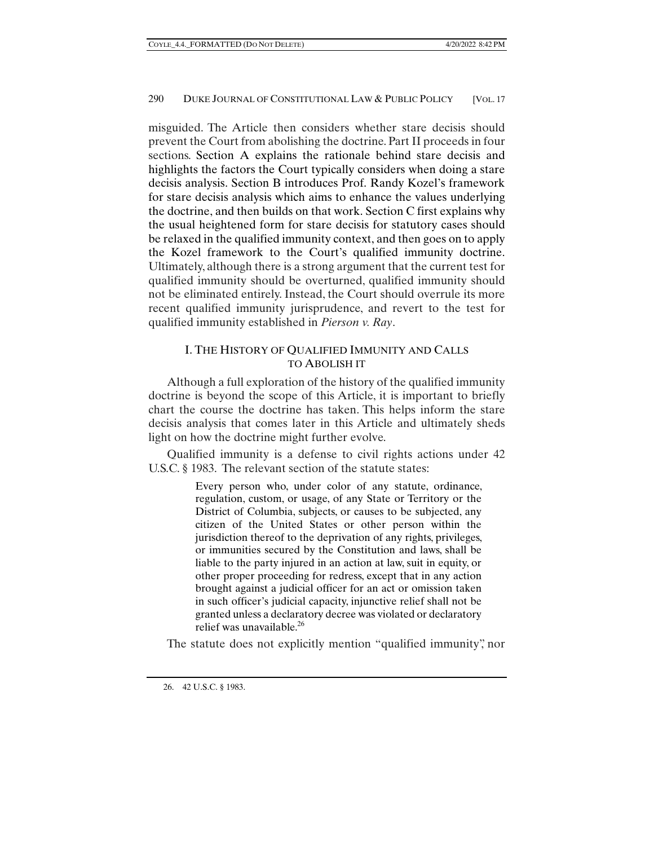misguided. The Article then considers whether stare decisis should prevent the Court from abolishing the doctrine. Part II proceeds in four sections. Section A explains the rationale behind stare decisis and highlights the factors the Court typically considers when doing a stare decisis analysis. Section B introduces Prof. Randy Kozel's framework for stare decisis analysis which aims to enhance the values underlying the doctrine, and then builds on that work. Section C first explains why the usual heightened form for stare decisis for statutory cases should be relaxed in the qualified immunity context, and then goes on to apply the Kozel framework to the Court's qualified immunity doctrine. Ultimately, although there is a strong argument that the current test for qualified immunity should be overturned, qualified immunity should not be eliminated entirely. Instead, the Court should overrule its more recent qualified immunity jurisprudence, and revert to the test for qualified immunity established in *Pierson v. Ray*.

# I. THE HISTORY OF QUALIFIED IMMUNITY AND CALLS TO ABOLISH IT

Although a full exploration of the history of the qualified immunity doctrine is beyond the scope of this Article, it is important to briefly chart the course the doctrine has taken. This helps inform the stare decisis analysis that comes later in this Article and ultimately sheds light on how the doctrine might further evolve.

Qualified immunity is a defense to civil rights actions under 42 U.S.C. § 1983. The relevant section of the statute states:

> Every person who, under color of any statute, ordinance, regulation, custom, or usage, of any State or Territory or the District of Columbia, subjects, or causes to be subjected, any citizen of the United States or other person within the jurisdiction thereof to the deprivation of any rights, privileges, or immunities secured by the Constitution and laws, shall be liable to the party injured in an action at law, suit in equity, or other proper proceeding for redress, except that in any action brought against a judicial officer for an act or omission taken in such officer's judicial capacity, injunctive relief shall not be granted unless a declaratory decree was violated or declaratory relief was unavailable.26

The statute does not explicitly mention "qualified immunity", nor

 <sup>26. 42</sup> U.S.C. § 1983.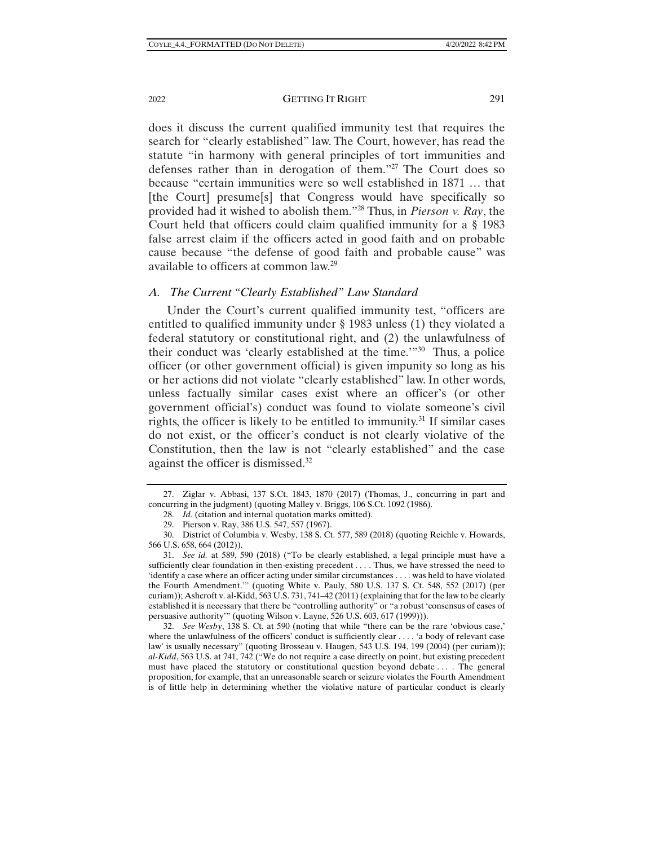2022 GETTING IT RIGHT 291

does it discuss the current qualified immunity test that requires the search for "clearly established" law. The Court, however, has read the statute "in harmony with general principles of tort immunities and defenses rather than in derogation of them."27 The Court does so because "certain immunities were so well established in 1871 … that [the Court] presume[s] that Congress would have specifically so provided had it wished to abolish them."28 Thus, in *Pierson v. Ray*, the Court held that officers could claim qualified immunity for a § 1983 false arrest claim if the officers acted in good faith and on probable cause because "the defense of good faith and probable cause" was available to officers at common law.29

## *A. The Current "Clearly Established" Law Standard*

Under the Court's current qualified immunity test, "officers are entitled to qualified immunity under § 1983 unless (1) they violated a federal statutory or constitutional right, and (2) the unlawfulness of their conduct was 'clearly established at the time.'"30 Thus, a police officer (or other government official) is given impunity so long as his or her actions did not violate "clearly established" law. In other words, unless factually similar cases exist where an officer's (or other government official's) conduct was found to violate someone's civil rights, the officer is likely to be entitled to immunity.<sup>31</sup> If similar cases do not exist, or the officer's conduct is not clearly violative of the Constitution, then the law is not "clearly established" and the case against the officer is dismissed.32

 <sup>27.</sup> Ziglar v. Abbasi, 137 S.Ct. 1843, 1870 (2017) (Thomas, J., concurring in part and concurring in the judgment) (quoting Malley v. Briggs, 106 S.Ct. 1092 (1986).

 <sup>28.</sup> *Id.* (citation and internal quotation marks omitted).

 <sup>29.</sup> Pierson v. Ray, 386 U.S. 547, 557 (1967).

 <sup>30.</sup> District of Columbia v. Wesby, 138 S. Ct. 577, 589 (2018) (quoting Reichle v. Howards, 566 U.S. 658, 664 (2012)).

 <sup>31.</sup> *See id.* at 589, 590 (2018) ("To be clearly established, a legal principle must have a sufficiently clear foundation in then-existing precedent . . . . Thus, we have stressed the need to 'identify a case where an officer acting under similar circumstances . . . . was held to have violated the Fourth Amendment.'" (quoting White v. Pauly, 580 U.S. 137 S. Ct. 548, 552 (2017) (per curiam)); Ashcroft v. al-Kidd, 563 U.S. 731, 741–42 (2011) (explaining that for the law to be clearly established it is necessary that there be "controlling authority" or "a robust 'consensus of cases of persuasive authority'" (quoting Wilson v. Layne, 526 U.S. 603, 617 (1999))).

 <sup>32.</sup> *See Wesby*, 138 S. Ct. at 590 (noting that while "there can be the rare 'obvious case,' where the unlawfulness of the officers' conduct is sufficiently clear . . . . 'a body of relevant case law' is usually necessary" (quoting Brosseau v. Haugen, 543 U.S. 194, 199 (2004) (per curiam)); *al-Kidd*, 563 U.S. at 741, 742 ("We do not require a case directly on point, but existing precedent must have placed the statutory or constitutional question beyond debate . . . . The general proposition, for example, that an unreasonable search or seizure violates the Fourth Amendment is of little help in determining whether the violative nature of particular conduct is clearly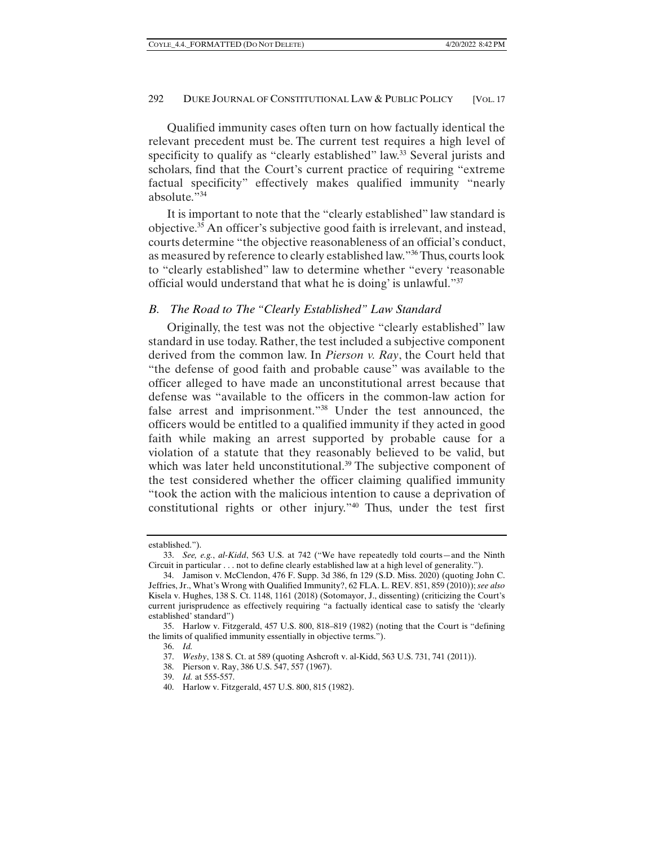Qualified immunity cases often turn on how factually identical the relevant precedent must be. The current test requires a high level of specificity to qualify as "clearly established" law.<sup>33</sup> Several jurists and scholars, find that the Court's current practice of requiring "extreme factual specificity" effectively makes qualified immunity "nearly absolute."34

It is important to note that the "clearly established" law standard is objective.35 An officer's subjective good faith is irrelevant, and instead, courts determine "the objective reasonableness of an official's conduct, as measured by reference to clearly established law."36 Thus, courts look to "clearly established" law to determine whether "every 'reasonable official would understand that what he is doing' is unlawful."37

#### *B. The Road to The "Clearly Established" Law Standard*

Originally, the test was not the objective "clearly established" law standard in use today. Rather, the test included a subjective component derived from the common law. In *Pierson v. Ray*, the Court held that "the defense of good faith and probable cause" was available to the officer alleged to have made an unconstitutional arrest because that defense was "available to the officers in the common-law action for false arrest and imprisonment."38 Under the test announced, the officers would be entitled to a qualified immunity if they acted in good faith while making an arrest supported by probable cause for a violation of a statute that they reasonably believed to be valid, but which was later held unconstitutional.<sup>39</sup> The subjective component of the test considered whether the officer claiming qualified immunity "took the action with the malicious intention to cause a deprivation of constitutional rights or other injury."40 Thus, under the test first

established.").

 <sup>33.</sup> *See, e.g.*, *al-Kidd*, 563 U.S. at 742 ("We have repeatedly told courts—and the Ninth Circuit in particular . . . not to define clearly established law at a high level of generality.").

 <sup>34.</sup> Jamison v. McClendon, 476 F. Supp. 3d 386, fn 129 (S.D. Miss. 2020) (quoting John C. Jeffries, Jr., What's Wrong with Qualified Immunity?, 62 FLA. L. REV. 851, 859 (2010)); *see also* Kisela v. Hughes, 138 S. Ct. 1148, 1161 (2018) (Sotomayor, J., dissenting) (criticizing the Court's current jurisprudence as effectively requiring "a factually identical case to satisfy the 'clearly established' standard")

 <sup>35.</sup> Harlow v. Fitzgerald, 457 U.S. 800, 818–819 (1982) (noting that the Court is "defining the limits of qualified immunity essentially in objective terms.").

 <sup>36.</sup> *Id.*

 <sup>37.</sup> *Wesby*, 138 S. Ct. at 589 (quoting Ashcroft v. al-Kidd, 563 U.S. 731, 741 (2011)).

 <sup>38.</sup> Pierson v. Ray, 386 U.S. 547, 557 (1967).

 <sup>39.</sup> *Id.* at 555-557.

 <sup>40.</sup> Harlow v. Fitzgerald, 457 U.S. 800, 815 (1982).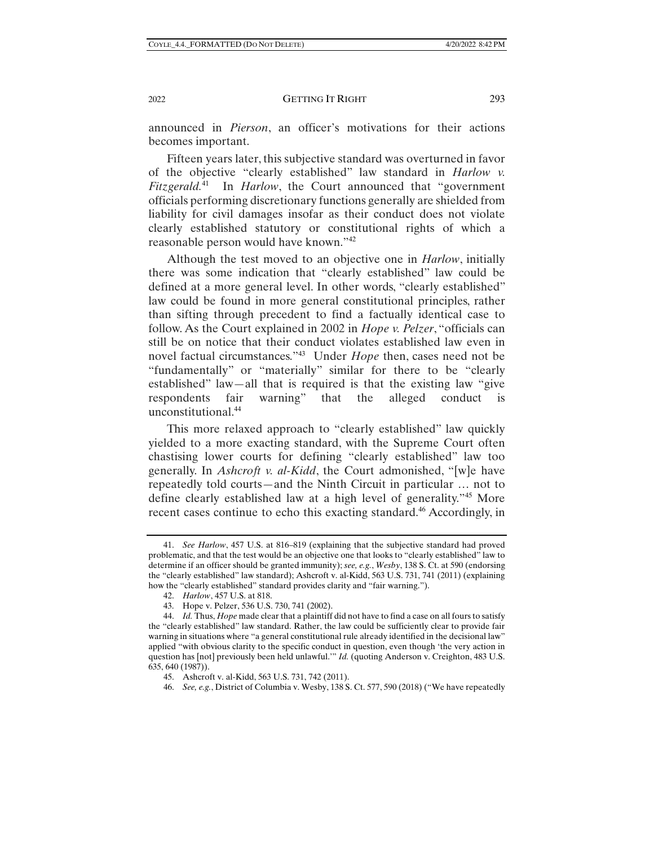announced in *Pierson*, an officer's motivations for their actions becomes important.

Fifteen years later, this subjective standard was overturned in favor of the objective "clearly established" law standard in *Harlow v. Fitzgerald.*41 In *Harlow*, the Court announced that "government officials performing discretionary functions generally are shielded from liability for civil damages insofar as their conduct does not violate clearly established statutory or constitutional rights of which a reasonable person would have known."42

Although the test moved to an objective one in *Harlow*, initially there was some indication that "clearly established" law could be defined at a more general level. In other words, "clearly established" law could be found in more general constitutional principles, rather than sifting through precedent to find a factually identical case to follow. As the Court explained in 2002 in *Hope v. Pelzer*, "officials can still be on notice that their conduct violates established law even in novel factual circumstances."43 Under *Hope* then, cases need not be "fundamentally" or "materially" similar for there to be "clearly established" law—all that is required is that the existing law "give respondents fair warning" that the alleged conduct is unconstitutional.44

This more relaxed approach to "clearly established" law quickly yielded to a more exacting standard, with the Supreme Court often chastising lower courts for defining "clearly established" law too generally. In *Ashcroft v. al-Kidd*, the Court admonished, "[w]e have repeatedly told courts—and the Ninth Circuit in particular … not to define clearly established law at a high level of generality."45 More recent cases continue to echo this exacting standard.<sup>46</sup> Accordingly, in

 <sup>41.</sup> *See Harlow*, 457 U.S. at 816–819 (explaining that the subjective standard had proved problematic, and that the test would be an objective one that looks to "clearly established" law to determine if an officer should be granted immunity); *see, e.g.*, *Wesby*, 138 S. Ct. at 590 (endorsing the "clearly established" law standard); Ashcroft v. al-Kidd, 563 U.S. 731, 741 (2011) (explaining how the "clearly established" standard provides clarity and "fair warning.").

 <sup>42.</sup> *Harlow*, 457 U.S. at 818.

 <sup>43.</sup> Hope v. Pelzer, 536 U.S. 730, 741 (2002).

 <sup>44.</sup> *Id.* Thus, *Hope* made clear that a plaintiff did not have to find a case on all fours to satisfy the "clearly established" law standard. Rather, the law could be sufficiently clear to provide fair warning in situations where "a general constitutional rule already identified in the decisional law" applied "with obvious clarity to the specific conduct in question, even though 'the very action in question has [not] previously been held unlawful.'" *Id.* (quoting Anderson v. Creighton, 483 U.S. 635, 640 (1987)).

 <sup>45.</sup> Ashcroft v. al-Kidd, 563 U.S. 731, 742 (2011).

 <sup>46.</sup> *See, e.g.*, District of Columbia v. Wesby, 138 S. Ct. 577, 590 (2018) ("We have repeatedly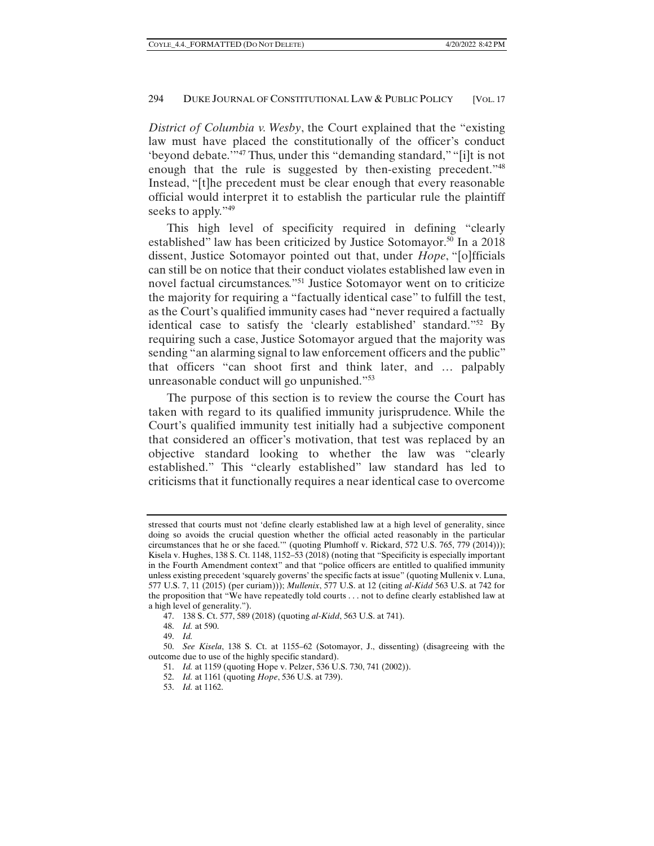*District of Columbia v. Wesby*, the Court explained that the "existing law must have placed the constitutionally of the officer's conduct 'beyond debate.'"47 Thus, under this "demanding standard," "[i]t is not enough that the rule is suggested by then-existing precedent.<sup>748</sup> Instead, "[t]he precedent must be clear enough that every reasonable official would interpret it to establish the particular rule the plaintiff seeks to apply."<sup>49</sup>

This high level of specificity required in defining "clearly established" law has been criticized by Justice Sotomayor.<sup>50</sup> In a 2018 dissent, Justice Sotomayor pointed out that, under *Hope*, "[o]fficials can still be on notice that their conduct violates established law even in novel factual circumstances."51 Justice Sotomayor went on to criticize the majority for requiring a "factually identical case" to fulfill the test, as the Court's qualified immunity cases had "never required a factually identical case to satisfy the 'clearly established' standard."52 By requiring such a case, Justice Sotomayor argued that the majority was sending "an alarming signal to law enforcement officers and the public" that officers "can shoot first and think later, and … palpably unreasonable conduct will go unpunished."53

The purpose of this section is to review the course the Court has taken with regard to its qualified immunity jurisprudence. While the Court's qualified immunity test initially had a subjective component that considered an officer's motivation, that test was replaced by an objective standard looking to whether the law was "clearly established." This "clearly established" law standard has led to criticisms that it functionally requires a near identical case to overcome

51. *Id.* at 1159 (quoting Hope v. Pelzer, 536 U.S. 730, 741 (2002)).

stressed that courts must not 'define clearly established law at a high level of generality, since doing so avoids the crucial question whether the official acted reasonably in the particular circumstances that he or she faced.'" (quoting Plumhoff v. Rickard, 572 U.S. 765, 779 (2014))); Kisela v. Hughes, 138 S. Ct. 1148, 1152–53 (2018) (noting that "Specificity is especially important in the Fourth Amendment context" and that "police officers are entitled to qualified immunity unless existing precedent 'squarely governs' the specific facts at issue" (quoting Mullenix v. Luna, 577 U.S. 7, 11 (2015) (per curiam))); *Mullenix*, 577 U.S. at 12 (citing *al-Kidd* 563 U.S. at 742 for the proposition that "We have repeatedly told courts . . . not to define clearly established law at a high level of generality.").

 <sup>47. 138</sup> S. Ct. 577, 589 (2018) (quoting *al-Kidd*, 563 U.S. at 741).

 <sup>48.</sup> *Id.* at 590.

 <sup>49.</sup> *Id.*

 <sup>50.</sup> *See Kisela*, 138 S. Ct. at 1155–62 (Sotomayor, J., dissenting) (disagreeing with the outcome due to use of the highly specific standard).

 <sup>52.</sup> *Id.* at 1161 (quoting *Hope*, 536 U.S. at 739).

 <sup>53.</sup> *Id.* at 1162.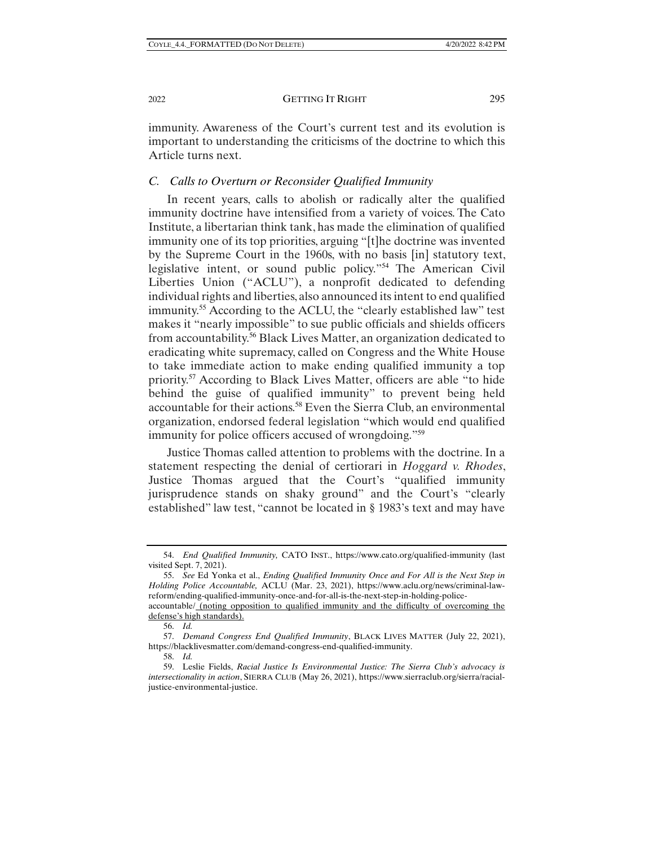immunity. Awareness of the Court's current test and its evolution is important to understanding the criticisms of the doctrine to which this Article turns next.

#### *C. Calls to Overturn or Reconsider Qualified Immunity*

In recent years, calls to abolish or radically alter the qualified immunity doctrine have intensified from a variety of voices. The Cato Institute, a libertarian think tank, has made the elimination of qualified immunity one of its top priorities, arguing "[t]he doctrine was invented by the Supreme Court in the 1960s, with no basis [in] statutory text, legislative intent, or sound public policy."54 The American Civil Liberties Union ("ACLU"), a nonprofit dedicated to defending individual rights and liberties, also announced its intent to end qualified immunity.55 According to the ACLU, the "clearly established law" test makes it "nearly impossible" to sue public officials and shields officers from accountability.56 Black Lives Matter, an organization dedicated to eradicating white supremacy, called on Congress and the White House to take immediate action to make ending qualified immunity a top priority.57 According to Black Lives Matter, officers are able "to hide behind the guise of qualified immunity" to prevent being held accountable for their actions.58 Even the Sierra Club, an environmental organization, endorsed federal legislation "which would end qualified immunity for police officers accused of wrongdoing."59

Justice Thomas called attention to problems with the doctrine. In a statement respecting the denial of certiorari in *Hoggard v. Rhodes*, Justice Thomas argued that the Court's "qualified immunity jurisprudence stands on shaky ground" and the Court's "clearly established" law test, "cannot be located in § 1983's text and may have

 <sup>54.</sup> *End Qualified Immunity,* CATO INST., https://www.cato.org/qualified-immunity (last visited Sept. 7, 2021).

 <sup>55.</sup> *See* Ed Yonka et al., *Ending Qualified Immunity Once and For All is the Next Step in Holding Police Accountable,* ACLU (Mar. 23, 2021), https://www.aclu.org/news/criminal-lawreform/ending-qualified-immunity-once-and-for-all-is-the-next-step-in-holding-police-

accountable/ (noting opposition to qualified immunity and the difficulty of overcoming the defense's high standards).

 <sup>56.</sup> *Id.*

 <sup>57.</sup> *Demand Congress End Qualified Immunity*, BLACK LIVES MATTER (July 22, 2021), https://blacklivesmatter.com/demand-congress-end-qualified-immunity.

 <sup>58.</sup> *Id.*

 <sup>59.</sup> Leslie Fields, *Racial Justice Is Environmental Justice: The Sierra Club's advocacy is intersectionality in action*, SIERRA CLUB (May 26, 2021), https://www.sierraclub.org/sierra/racialjustice-environmental-justice.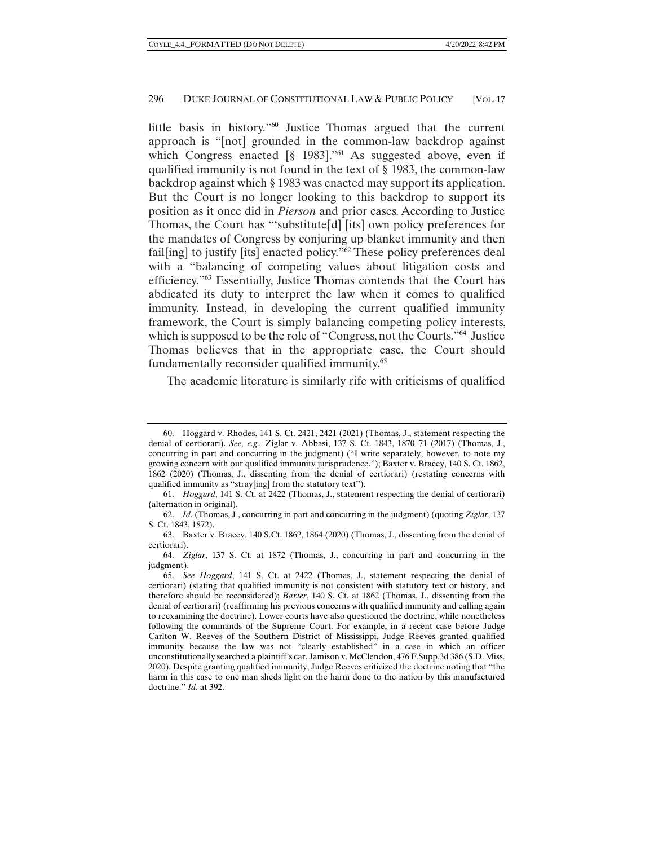little basis in history."<sup>60</sup> Justice Thomas argued that the current approach is "[not] grounded in the common-law backdrop against which Congress enacted  $\lbrack$ § 1983]."<sup>61</sup> As suggested above, even if qualified immunity is not found in the text of § 1983, the common-law backdrop against which § 1983 was enacted may support its application. But the Court is no longer looking to this backdrop to support its position as it once did in *Pierson* and prior cases. According to Justice Thomas, the Court has "'substitute[d] [its] own policy preferences for the mandates of Congress by conjuring up blanket immunity and then fail[ing] to justify [its] enacted policy."62 These policy preferences deal with a "balancing of competing values about litigation costs and efficiency."63 Essentially, Justice Thomas contends that the Court has abdicated its duty to interpret the law when it comes to qualified immunity. Instead, in developing the current qualified immunity framework, the Court is simply balancing competing policy interests, which is supposed to be the role of "Congress, not the Courts."<sup>64</sup> Justice Thomas believes that in the appropriate case, the Court should fundamentally reconsider qualified immunity.<sup>65</sup>

The academic literature is similarly rife with criticisms of qualified

 <sup>60.</sup> Hoggard v. Rhodes, 141 S. Ct. 2421, 2421 (2021) (Thomas, J., statement respecting the denial of certiorari). *See, e.g.,* Ziglar v. Abbasi, 137 S. Ct. 1843, 1870–71 (2017) (Thomas, J., concurring in part and concurring in the judgment) ("I write separately, however, to note my growing concern with our qualified immunity jurisprudence."); Baxter v. Bracey, 140 S. Ct. 1862, 1862 (2020) (Thomas, J., dissenting from the denial of certiorari) (restating concerns with qualified immunity as "stray[ing] from the statutory text").

 <sup>61.</sup> *Hoggard*, 141 S. Ct. at 2422 (Thomas, J., statement respecting the denial of certiorari) (alternation in original).

 <sup>62.</sup> *Id.* (Thomas, J., concurring in part and concurring in the judgment) (quoting *Ziglar*, 137 S. Ct. 1843, 1872).

 <sup>63.</sup> Baxter v. Bracey, 140 S.Ct. 1862, 1864 (2020) (Thomas, J., dissenting from the denial of certiorari).

 <sup>64.</sup> *Ziglar*, 137 S. Ct. at 1872 (Thomas, J., concurring in part and concurring in the judgment).

 <sup>65.</sup> *See Hoggard*, 141 S. Ct. at 2422 (Thomas, J., statement respecting the denial of certiorari) (stating that qualified immunity is not consistent with statutory text or history, and therefore should be reconsidered); *Baxter*, 140 S. Ct. at 1862 (Thomas, J., dissenting from the denial of certiorari) (reaffirming his previous concerns with qualified immunity and calling again to reexamining the doctrine). Lower courts have also questioned the doctrine, while nonetheless following the commands of the Supreme Court. For example, in a recent case before Judge Carlton W. Reeves of the Southern District of Mississippi, Judge Reeves granted qualified immunity because the law was not "clearly established" in a case in which an officer unconstitutionally searched a plaintiff's car. Jamison v. McClendon, 476 F.Supp.3d 386 (S.D. Miss. 2020). Despite granting qualified immunity, Judge Reeves criticized the doctrine noting that "the harm in this case to one man sheds light on the harm done to the nation by this manufactured doctrine." *Id.* at 392.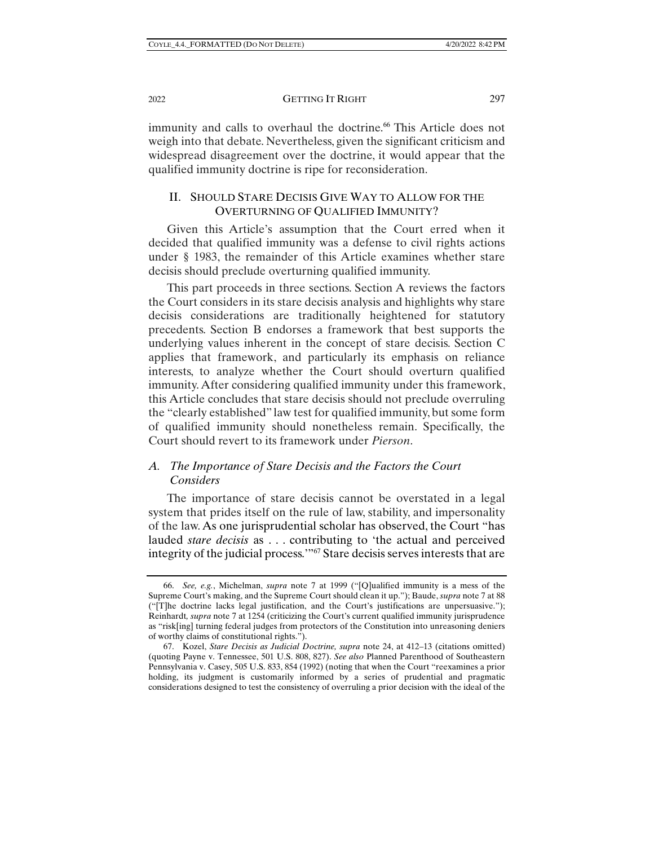immunity and calls to overhaul the doctrine.<sup>66</sup> This Article does not weigh into that debate. Nevertheless, given the significant criticism and widespread disagreement over the doctrine, it would appear that the qualified immunity doctrine is ripe for reconsideration.

## II. SHOULD STARE DECISIS GIVE WAY TO ALLOW FOR THE OVERTURNING OF QUALIFIED IMMUNITY?

Given this Article's assumption that the Court erred when it decided that qualified immunity was a defense to civil rights actions under § 1983, the remainder of this Article examines whether stare decisis should preclude overturning qualified immunity.

This part proceeds in three sections. Section A reviews the factors the Court considers in its stare decisis analysis and highlights why stare decisis considerations are traditionally heightened for statutory precedents. Section B endorses a framework that best supports the underlying values inherent in the concept of stare decisis. Section C applies that framework, and particularly its emphasis on reliance interests, to analyze whether the Court should overturn qualified immunity. After considering qualified immunity under this framework, this Article concludes that stare decisis should not preclude overruling the "clearly established" law test for qualified immunity, but some form of qualified immunity should nonetheless remain. Specifically, the Court should revert to its framework under *Pierson*.

## *A. The Importance of Stare Decisis and the Factors the Court Considers*

The importance of stare decisis cannot be overstated in a legal system that prides itself on the rule of law, stability, and impersonality of the law. As one jurisprudential scholar has observed, the Court "has lauded *stare decisis* as . . . contributing to 'the actual and perceived integrity of the judicial process.'"67 Stare decisis serves interests that are

 <sup>66.</sup> *See, e.g.*, Michelman, *supra* note 7 at 1999 ("[Q]ualified immunity is a mess of the Supreme Court's making, and the Supreme Court should clean it up."); Baude, *supra* note 7 at 88 ("[T]he doctrine lacks legal justification, and the Court's justifications are unpersuasive."); Reinhardt*, supra* note 7 at 1254 (criticizing the Court's current qualified immunity jurisprudence as "risk[ing] turning federal judges from protectors of the Constitution into unreasoning deniers of worthy claims of constitutional rights.").

 <sup>67.</sup> Kozel, *Stare Decisis as Judicial Doctrine, supra* note 24, at 412–13 (citations omitted) (quoting Payne v. Tennessee, 501 U.S. 808, 827). *See also* Planned Parenthood of Southeastern Pennsylvania v. Casey, 505 U.S. 833, 854 (1992) (noting that when the Court "reexamines a prior holding, its judgment is customarily informed by a series of prudential and pragmatic considerations designed to test the consistency of overruling a prior decision with the ideal of the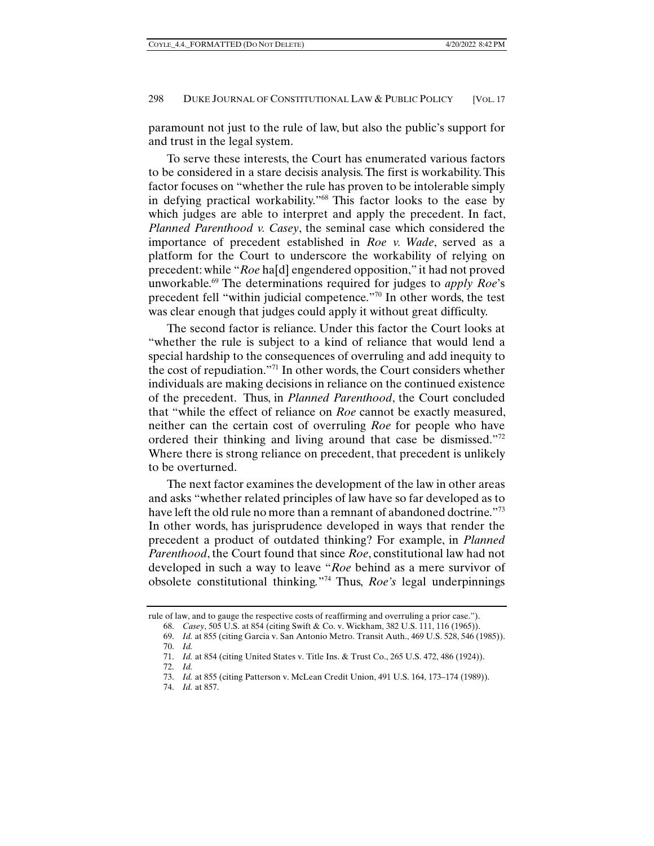paramount not just to the rule of law, but also the public's support for and trust in the legal system.

To serve these interests, the Court has enumerated various factors to be considered in a stare decisis analysis. The first is workability. This factor focuses on "whether the rule has proven to be intolerable simply in defying practical workability."68 This factor looks to the ease by which judges are able to interpret and apply the precedent. In fact, *Planned Parenthood v. Casey*, the seminal case which considered the importance of precedent established in *Roe v. Wade*, served as a platform for the Court to underscore the workability of relying on precedent: while "*Roe* ha[d] engendered opposition," it had not proved unworkable.69 The determinations required for judges to *apply Roe*'s precedent fell "within judicial competence."70 In other words, the test was clear enough that judges could apply it without great difficulty.

The second factor is reliance. Under this factor the Court looks at "whether the rule is subject to a kind of reliance that would lend a special hardship to the consequences of overruling and add inequity to the cost of repudiation."71 In other words, the Court considers whether individuals are making decisions in reliance on the continued existence of the precedent. Thus, in *Planned Parenthood*, the Court concluded that "while the effect of reliance on *Roe* cannot be exactly measured, neither can the certain cost of overruling *Roe* for people who have ordered their thinking and living around that case be dismissed."<sup>72</sup> Where there is strong reliance on precedent, that precedent is unlikely to be overturned.

The next factor examines the development of the law in other areas and asks "whether related principles of law have so far developed as to have left the old rule no more than a remnant of abandoned doctrine."<sup>73</sup> In other words, has jurisprudence developed in ways that render the precedent a product of outdated thinking? For example, in *Planned Parenthood*, the Court found that since *Roe*, constitutional law had not developed in such a way to leave "*Roe* behind as a mere survivor of obsolete constitutional thinking*.*"74 Thus, *Roe's* legal underpinnings

rule of law, and to gauge the respective costs of reaffirming and overruling a prior case.").

 <sup>68.</sup> *Casey*, 505 U.S. at 854 (citing Swift & Co. v. Wickham, 382 U.S. 111, 116 (1965)).

 <sup>69.</sup> *Id.* at 855 (citing Garcia v. San Antonio Metro. Transit Auth., 469 U.S. 528, 546 (1985)).

 <sup>70.</sup> *Id.*

 <sup>71.</sup> *Id.* at 854 (citing United States v. Title Ins. & Trust Co., 265 U.S. 472, 486 (1924)).

 <sup>72.</sup> *Id.*

 <sup>73.</sup> *Id.* at 855 (citing Patterson v. McLean Credit Union, 491 U.S. 164, 173–174 (1989)).

 <sup>74.</sup> *Id.* at 857.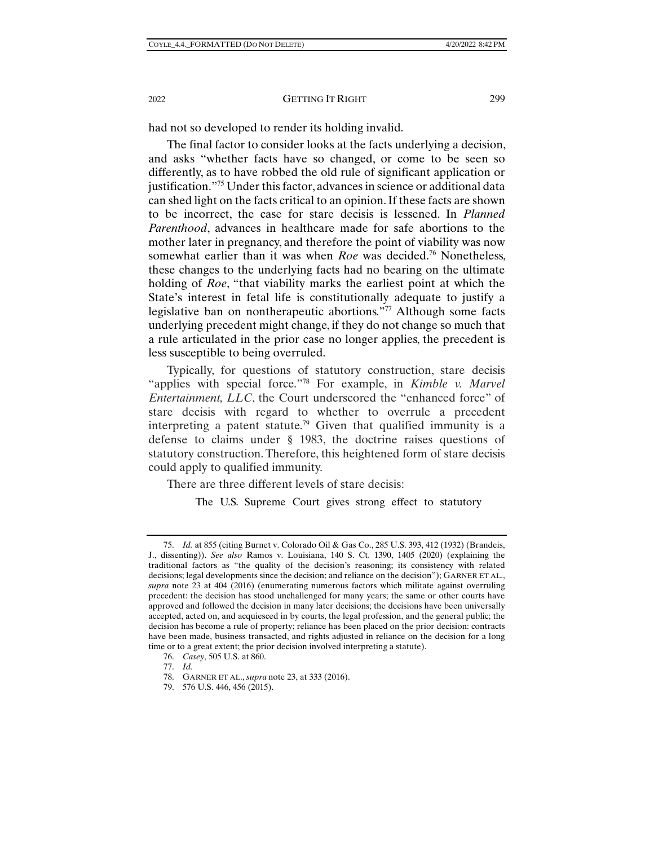had not so developed to render its holding invalid.

The final factor to consider looks at the facts underlying a decision, and asks "whether facts have so changed, or come to be seen so differently, as to have robbed the old rule of significant application or justification."75 Under this factor, advances in science or additional data can shed light on the facts critical to an opinion. If these facts are shown to be incorrect, the case for stare decisis is lessened. In *Planned Parenthood*, advances in healthcare made for safe abortions to the mother later in pregnancy, and therefore the point of viability was now somewhat earlier than it was when *Roe* was decided.<sup>76</sup> Nonetheless, these changes to the underlying facts had no bearing on the ultimate holding of *Roe*, "that viability marks the earliest point at which the State's interest in fetal life is constitutionally adequate to justify a legislative ban on nontherapeutic abortions."77 Although some facts underlying precedent might change, if they do not change so much that a rule articulated in the prior case no longer applies, the precedent is less susceptible to being overruled.

Typically, for questions of statutory construction, stare decisis "applies with special force."78 For example, in *Kimble v. Marvel Entertainment, LLC*, the Court underscored the "enhanced force" of stare decisis with regard to whether to overrule a precedent interpreting a patent statute.<sup>79</sup> Given that qualified immunity is a defense to claims under § 1983, the doctrine raises questions of statutory construction. Therefore, this heightened form of stare decisis could apply to qualified immunity.

There are three different levels of stare decisis:

The U.S. Supreme Court gives strong effect to statutory

<sup>75.</sup> *Id.* at 855 (citing Burnet v. Colorado Oil & Gas Co., 285 U.S. 393, 412 (1932) (Brandeis, J., dissenting)). *See also* Ramos v. Louisiana, 140 S. Ct. 1390, 1405 (2020) (explaining the traditional factors as "the quality of the decision's reasoning; its consistency with related decisions; legal developments since the decision; and reliance on the decision"); GARNER ET AL., *supra* note 23 at 404 (2016) (enumerating numerous factors which militate against overruling precedent: the decision has stood unchallenged for many years; the same or other courts have approved and followed the decision in many later decisions; the decisions have been universally accepted, acted on, and acquiesced in by courts, the legal profession, and the general public; the decision has become a rule of property; reliance has been placed on the prior decision: contracts have been made, business transacted, and rights adjusted in reliance on the decision for a long time or to a great extent; the prior decision involved interpreting a statute).

 <sup>76.</sup> *Casey*, 505 U.S. at 860.

 <sup>77.</sup> *Id.*

 <sup>78.</sup> GARNER ET AL., *supra* note 23, at 333 (2016).

 <sup>79. 576</sup> U.S. 446, 456 (2015).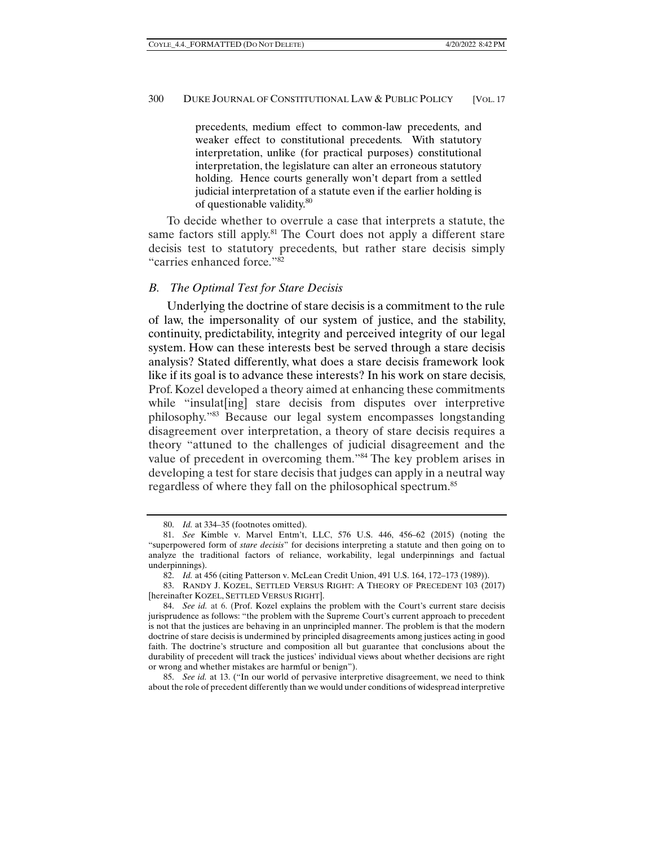precedents, medium effect to common-law precedents, and weaker effect to constitutional precedents. With statutory interpretation, unlike (for practical purposes) constitutional interpretation, the legislature can alter an erroneous statutory holding. Hence courts generally won't depart from a settled judicial interpretation of a statute even if the earlier holding is of questionable validity.80

To decide whether to overrule a case that interprets a statute, the same factors still apply.<sup>81</sup> The Court does not apply a different stare decisis test to statutory precedents, but rather stare decisis simply "carries enhanced force."82

#### *B. The Optimal Test for Stare Decisis*

Underlying the doctrine of stare decisis is a commitment to the rule of law, the impersonality of our system of justice, and the stability, continuity, predictability, integrity and perceived integrity of our legal system. How can these interests best be served through a stare decisis analysis? Stated differently, what does a stare decisis framework look like if its goal is to advance these interests? In his work on stare decisis, Prof. Kozel developed a theory aimed at enhancing these commitments while "insulat [ing] stare decisis from disputes over interpretive philosophy."83 Because our legal system encompasses longstanding disagreement over interpretation, a theory of stare decisis requires a theory "attuned to the challenges of judicial disagreement and the value of precedent in overcoming them."84 The key problem arises in developing a test for stare decisis that judges can apply in a neutral way regardless of where they fall on the philosophical spectrum.85

 <sup>80.</sup> *Id.* at 334–35 (footnotes omitted).

 <sup>81.</sup> *See* Kimble v. Marvel Entm't, LLC, 576 U.S. 446, 456–62 (2015) (noting the "superpowered form of *stare decisis*" for decisions interpreting a statute and then going on to analyze the traditional factors of reliance, workability, legal underpinnings and factual underpinnings).

 <sup>82.</sup> *Id.* at 456 (citing Patterson v. McLean Credit Union, 491 U.S. 164, 172–173 (1989)).

 <sup>83.</sup> RANDY J. KOZEL, SETTLED VERSUS RIGHT: A THEORY OF PRECEDENT 103 (2017) [hereinafter KOZEL, SETTLED VERSUS RIGHT].

 <sup>84.</sup> *See id.* at 6. (Prof. Kozel explains the problem with the Court's current stare decisis jurisprudence as follows: "the problem with the Supreme Court's current approach to precedent is not that the justices are behaving in an unprincipled manner. The problem is that the modern doctrine of stare decisis is undermined by principled disagreements among justices acting in good faith. The doctrine's structure and composition all but guarantee that conclusions about the durability of precedent will track the justices' individual views about whether decisions are right or wrong and whether mistakes are harmful or benign").

 <sup>85.</sup> *See id.* at 13. ("In our world of pervasive interpretive disagreement, we need to think about the role of precedent differently than we would under conditions of widespread interpretive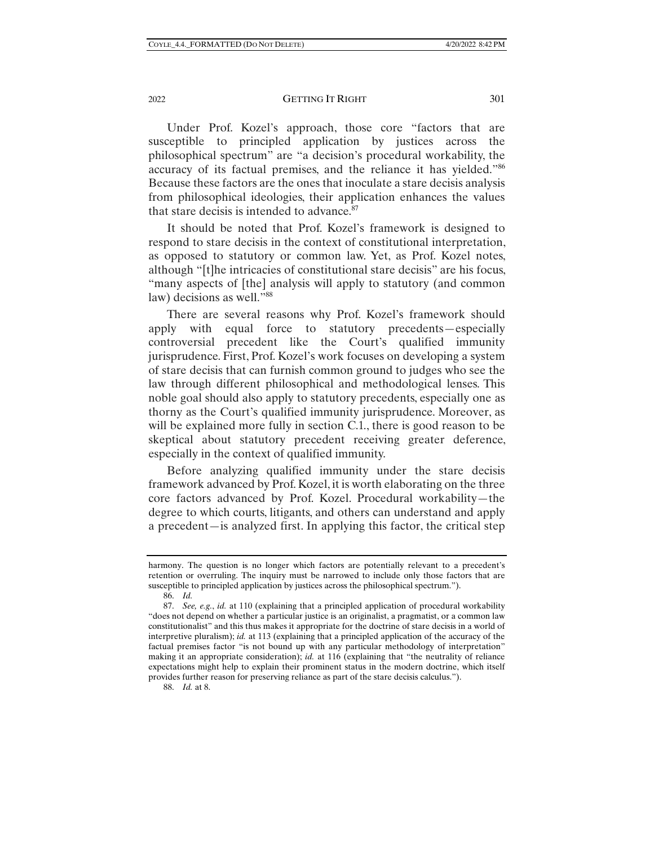2022 **GETTING IT RIGHT** 301

Under Prof. Kozel's approach, those core "factors that are susceptible to principled application by justices across the philosophical spectrum" are "a decision's procedural workability, the accuracy of its factual premises, and the reliance it has yielded."86 Because these factors are the ones that inoculate a stare decisis analysis from philosophical ideologies, their application enhances the values that stare decisis is intended to advance.<sup>87</sup>

It should be noted that Prof. Kozel's framework is designed to respond to stare decisis in the context of constitutional interpretation, as opposed to statutory or common law. Yet, as Prof. Kozel notes, although "[t]he intricacies of constitutional stare decisis" are his focus, "many aspects of [the] analysis will apply to statutory (and common law) decisions as well."<sup>88</sup>

There are several reasons why Prof. Kozel's framework should apply with equal force to statutory precedents—especially controversial precedent like the Court's qualified immunity jurisprudence. First, Prof. Kozel's work focuses on developing a system of stare decisis that can furnish common ground to judges who see the law through different philosophical and methodological lenses. This noble goal should also apply to statutory precedents, especially one as thorny as the Court's qualified immunity jurisprudence. Moreover, as will be explained more fully in section C.1., there is good reason to be skeptical about statutory precedent receiving greater deference, especially in the context of qualified immunity.

Before analyzing qualified immunity under the stare decisis framework advanced by Prof. Kozel, it is worth elaborating on the three core factors advanced by Prof. Kozel. Procedural workability—the degree to which courts, litigants, and others can understand and apply a precedent—is analyzed first. In applying this factor, the critical step

88. *Id.* at 8.

harmony. The question is no longer which factors are potentially relevant to a precedent's retention or overruling. The inquiry must be narrowed to include only those factors that are susceptible to principled application by justices across the philosophical spectrum.").

 <sup>86.</sup> *Id.* 

 <sup>87.</sup> *See, e.g.*, *id.* at 110 (explaining that a principled application of procedural workability "does not depend on whether a particular justice is an originalist, a pragmatist, or a common law constitutionalist" and this thus makes it appropriate for the doctrine of stare decisis in a world of interpretive pluralism); *id.* at 113 (explaining that a principled application of the accuracy of the factual premises factor "is not bound up with any particular methodology of interpretation" making it an appropriate consideration); *id.* at 116 (explaining that "the neutrality of reliance expectations might help to explain their prominent status in the modern doctrine, which itself provides further reason for preserving reliance as part of the stare decisis calculus.").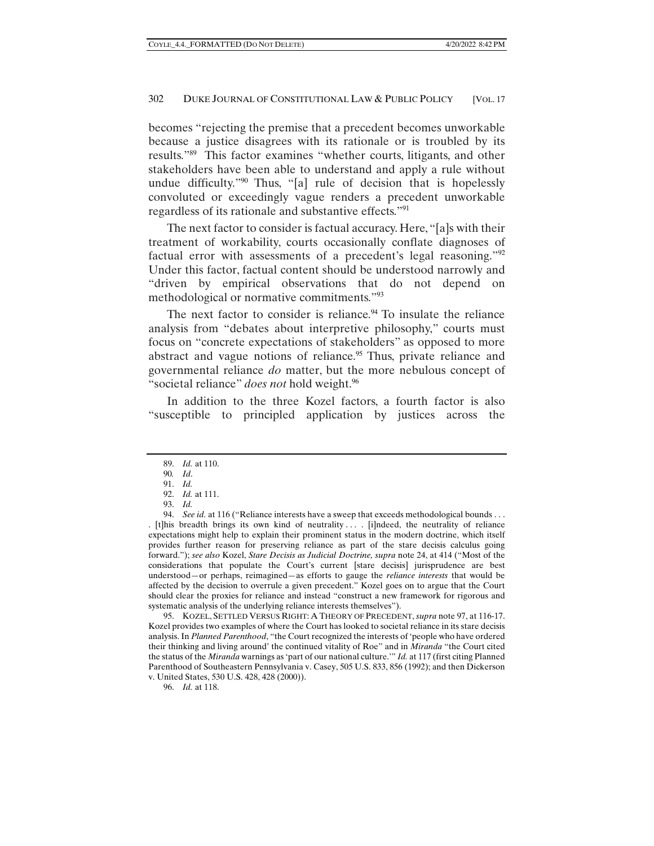becomes "rejecting the premise that a precedent becomes unworkable because a justice disagrees with its rationale or is troubled by its results."89 This factor examines "whether courts, litigants, and other stakeholders have been able to understand and apply a rule without undue difficulty."90 Thus, "[a] rule of decision that is hopelessly convoluted or exceedingly vague renders a precedent unworkable regardless of its rationale and substantive effects."91

The next factor to consider is factual accuracy. Here, "[a]s with their treatment of workability, courts occasionally conflate diagnoses of factual error with assessments of a precedent's legal reasoning."92 Under this factor, factual content should be understood narrowly and "driven by empirical observations that do not depend on methodological or normative commitments."93

The next factor to consider is reliance.<sup>94</sup> To insulate the reliance analysis from "debates about interpretive philosophy," courts must focus on "concrete expectations of stakeholders" as opposed to more abstract and vague notions of reliance.<sup>95</sup> Thus, private reliance and governmental reliance *do* matter, but the more nebulous concept of "societal reliance" *does not* hold weight.96

In addition to the three Kozel factors, a fourth factor is also "susceptible to principled application by justices across the

 95. KOZEL, SETTLED VERSUS RIGHT: A THEORY OF PRECEDENT, *supra* note 97, at 116-17. Kozel provides two examples of where the Court has looked to societal reliance in its stare decisis analysis. In *Planned Parenthood*, "the Court recognized the interests of 'people who have ordered their thinking and living around' the continued vitality of Roe" and in *Miranda* "the Court cited the status of the *Miranda* warnings as 'part of our national culture.'" *Id.* at 117 (first citing Planned Parenthood of Southeastern Pennsylvania v. Casey, 505 U.S. 833, 856 (1992); and then Dickerson v. United States, 530 U.S. 428, 428 (2000)).

96. *Id.* at 118.

 <sup>89.</sup> *Id.* at 110.

<sup>90</sup>*. Id*.

 <sup>91.</sup> *Id.* 

 <sup>92.</sup> *Id.* at 111.

 <sup>93.</sup> *Id.* 

 <sup>94.</sup> *See id.* at 116 ("Reliance interests have a sweep that exceeds methodological bounds . . . . [t]his breadth brings its own kind of neutrality . . . . [i]ndeed, the neutrality of reliance expectations might help to explain their prominent status in the modern doctrine, which itself provides further reason for preserving reliance as part of the stare decisis calculus going forward."); *see also* Kozel, *Stare Decisis as Judicial Doctrine, supra* note 24, at 414 ("Most of the considerations that populate the Court's current [stare decisis] jurisprudence are best understood—or perhaps, reimagined—as efforts to gauge the *reliance interests* that would be affected by the decision to overrule a given precedent." Kozel goes on to argue that the Court should clear the proxies for reliance and instead "construct a new framework for rigorous and systematic analysis of the underlying reliance interests themselves").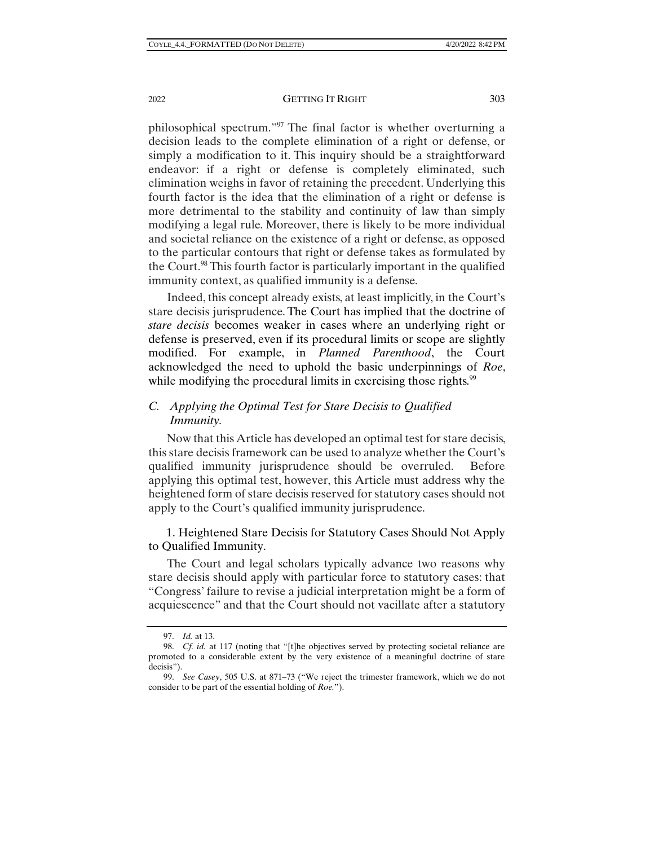philosophical spectrum."97 The final factor is whether overturning a decision leads to the complete elimination of a right or defense, or simply a modification to it. This inquiry should be a straightforward endeavor: if a right or defense is completely eliminated, such elimination weighs in favor of retaining the precedent. Underlying this fourth factor is the idea that the elimination of a right or defense is more detrimental to the stability and continuity of law than simply modifying a legal rule. Moreover, there is likely to be more individual and societal reliance on the existence of a right or defense, as opposed to the particular contours that right or defense takes as formulated by the Court.<sup>98</sup> This fourth factor is particularly important in the qualified immunity context, as qualified immunity is a defense.

Indeed, this concept already exists, at least implicitly, in the Court's stare decisis jurisprudence. The Court has implied that the doctrine of *stare decisis* becomes weaker in cases where an underlying right or defense is preserved, even if its procedural limits or scope are slightly modified. For example, in *Planned Parenthood*, the Court acknowledged the need to uphold the basic underpinnings of *Roe*, while modifying the procedural limits in exercising those rights.<sup>99</sup>

## *C. Applying the Optimal Test for Stare Decisis to Qualified Immunity.*

Now that this Article has developed an optimal test for stare decisis, this stare decisis framework can be used to analyze whether the Court's qualified immunity jurisprudence should be overruled. Before applying this optimal test, however, this Article must address why the heightened form of stare decisis reserved for statutory cases should not apply to the Court's qualified immunity jurisprudence.

1. Heightened Stare Decisis for Statutory Cases Should Not Apply to Qualified Immunity.

The Court and legal scholars typically advance two reasons why stare decisis should apply with particular force to statutory cases: that "Congress' failure to revise a judicial interpretation might be a form of acquiescence" and that the Court should not vacillate after a statutory

 <sup>97.</sup> *Id.* at 13.

 <sup>98.</sup> *Cf. id.* at 117 (noting that "[t]he objectives served by protecting societal reliance are promoted to a considerable extent by the very existence of a meaningful doctrine of stare decisis").

 <sup>99.</sup> *See Casey*, 505 U.S. at 871–73 ("We reject the trimester framework, which we do not consider to be part of the essential holding of *Roe.*").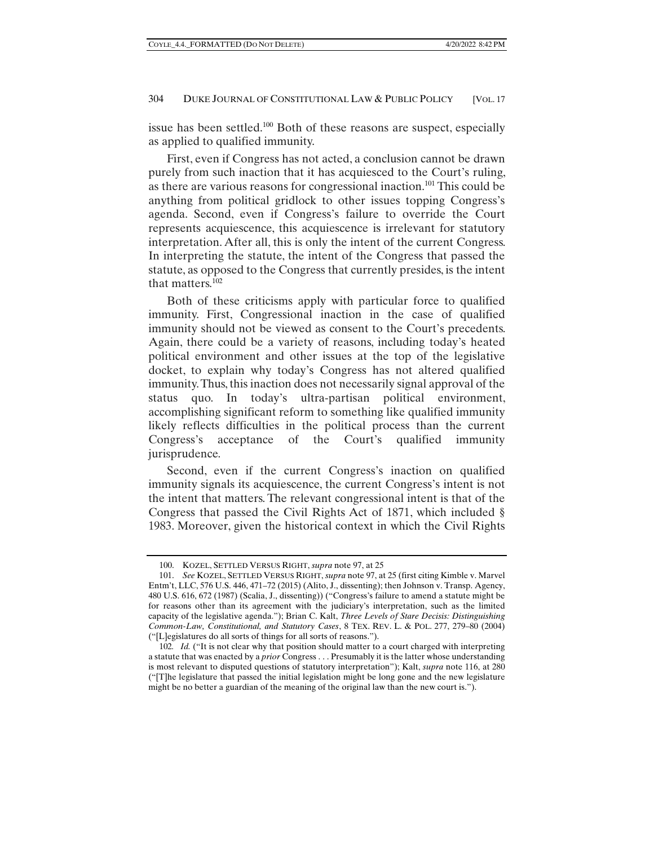issue has been settled.100 Both of these reasons are suspect, especially as applied to qualified immunity.

First, even if Congress has not acted, a conclusion cannot be drawn purely from such inaction that it has acquiesced to the Court's ruling, as there are various reasons for congressional inaction.101 This could be anything from political gridlock to other issues topping Congress's agenda. Second, even if Congress's failure to override the Court represents acquiescence, this acquiescence is irrelevant for statutory interpretation. After all, this is only the intent of the current Congress. In interpreting the statute, the intent of the Congress that passed the statute, as opposed to the Congress that currently presides, is the intent that matters.102

Both of these criticisms apply with particular force to qualified immunity. First, Congressional inaction in the case of qualified immunity should not be viewed as consent to the Court's precedents. Again, there could be a variety of reasons, including today's heated political environment and other issues at the top of the legislative docket, to explain why today's Congress has not altered qualified immunity. Thus, this inaction does not necessarily signal approval of the status quo. In today's ultra-partisan political environment, accomplishing significant reform to something like qualified immunity likely reflects difficulties in the political process than the current Congress's acceptance of the Court's qualified immunity jurisprudence.

Second, even if the current Congress's inaction on qualified immunity signals its acquiescence, the current Congress's intent is not the intent that matters. The relevant congressional intent is that of the Congress that passed the Civil Rights Act of 1871, which included § 1983. Moreover, given the historical context in which the Civil Rights

 <sup>100.</sup> KOZEL, SETTLED VERSUS RIGHT, *supra* note 97, at 25

 <sup>101.</sup> *See* KOZEL, SETTLED VERSUS RIGHT, *supra* note 97, at 25 (first citing Kimble v. Marvel Entm't, LLC, 576 U.S. 446, 471–72 (2015) (Alito, J., dissenting); then Johnson v. Transp. Agency, 480 U.S. 616, 672 (1987) (Scalia, J., dissenting)) ("Congress's failure to amend a statute might be for reasons other than its agreement with the judiciary's interpretation, such as the limited capacity of the legislative agenda."); Brian C. Kalt, *Three Levels of Stare Decisis: Distinguishing Common-Law, Constitutional, and Statutory Cases*, 8 TEX. REV. L. & POL. 277, 279–80 (2004) ("[L]egislatures do all sorts of things for all sorts of reasons.").

<sup>102</sup>*. Id.* ("It is not clear why that position should matter to a court charged with interpreting a statute that was enacted by a *prior* Congress . . . Presumably it is the latter whose understanding is most relevant to disputed questions of statutory interpretation"); Kalt, *supra* note 116, at 280 ("[T]he legislature that passed the initial legislation might be long gone and the new legislature might be no better a guardian of the meaning of the original law than the new court is.").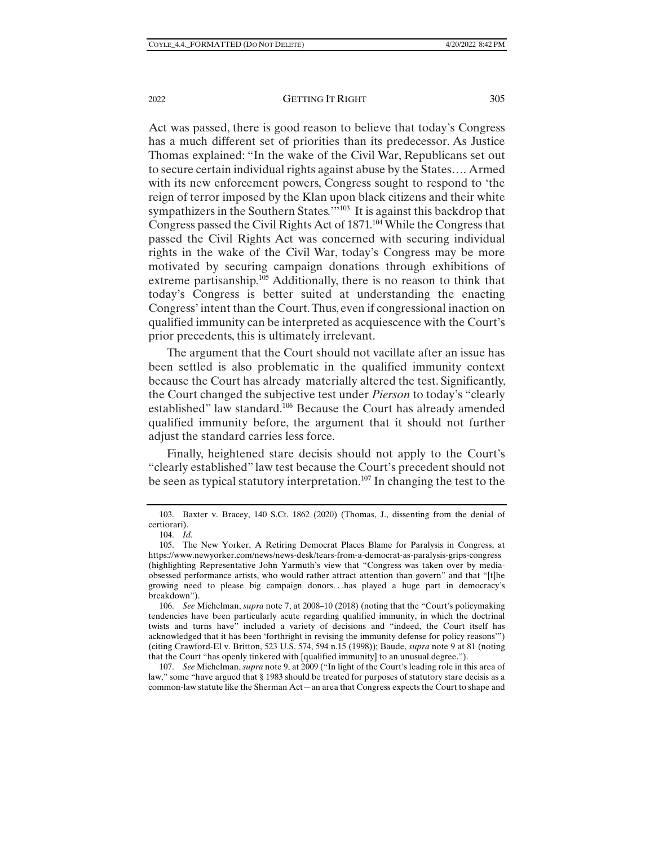Act was passed, there is good reason to believe that today's Congress has a much different set of priorities than its predecessor. As Justice Thomas explained: "In the wake of the Civil War, Republicans set out to secure certain individual rights against abuse by the States…. Armed with its new enforcement powers, Congress sought to respond to 'the reign of terror imposed by the Klan upon black citizens and their white sympathizers in the Southern States.'<sup>"103</sup> It is against this backdrop that Congress passed the Civil Rights Act of 1871.<sup>104</sup> While the Congress that passed the Civil Rights Act was concerned with securing individual rights in the wake of the Civil War, today's Congress may be more motivated by securing campaign donations through exhibitions of extreme partisanship.<sup>105</sup> Additionally, there is no reason to think that today's Congress is better suited at understanding the enacting Congress' intent than the Court. Thus, even if congressional inaction on qualified immunity can be interpreted as acquiescence with the Court's prior precedents, this is ultimately irrelevant.

The argument that the Court should not vacillate after an issue has been settled is also problematic in the qualified immunity context because the Court has already materially altered the test. Significantly, the Court changed the subjective test under *Pierson* to today's "clearly established" law standard.106 Because the Court has already amended qualified immunity before, the argument that it should not further adjust the standard carries less force.

Finally, heightened stare decisis should not apply to the Court's "clearly established" law test because the Court's precedent should not be seen as typical statutory interpretation.<sup>107</sup> In changing the test to the

 <sup>103.</sup> Baxter v. Bracey, 140 S.Ct. 1862 (2020) (Thomas, J., dissenting from the denial of certiorari).

 <sup>104.</sup> *Id.* 

 <sup>105.</sup> The New Yorker, A Retiring Democrat Places Blame for Paralysis in Congress, at https://www.newyorker.com/news/news-desk/tears-from-a-democrat-as-paralysis-grips-congress (highlighting Representative John Yarmuth's view that "Congress was taken over by mediaobsessed performance artists, who would rather attract attention than govern" and that "[t]he growing need to please big campaign donors. . .has played a huge part in democracy's breakdown").

 <sup>106.</sup> *See* Michelman, *supra* note 7, at 2008–10 (2018) (noting that the "Court's policymaking tendencies have been particularly acute regarding qualified immunity, in which the doctrinal twists and turns have" included a variety of decisions and "indeed, the Court itself has acknowledged that it has been 'forthright in revising the immunity defense for policy reasons'") (citing Crawford-El v. Britton, 523 U.S. 574, 594 n.15 (1998)); Baude, *supra* note 9 at 81 (noting that the Court "has openly tinkered with [qualified immunity] to an unusual degree.").

 <sup>107.</sup> *See* Michelman, *supra* note 9, at 2009 ("In light of the Court's leading role in this area of law," some "have argued that § 1983 should be treated for purposes of statutory stare decisis as a common-law statute like the Sherman Act—an area that Congress expects the Court to shape and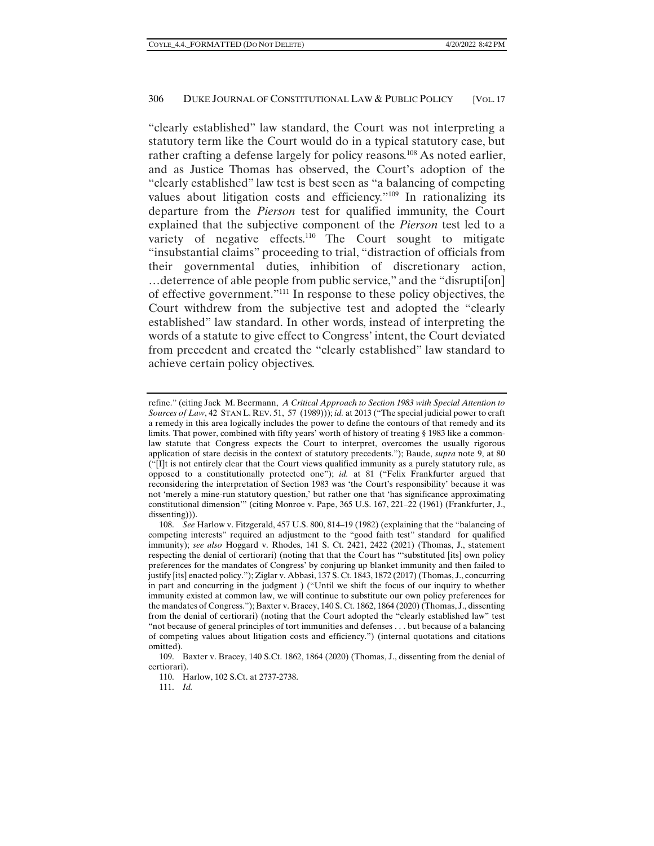"clearly established" law standard, the Court was not interpreting a statutory term like the Court would do in a typical statutory case, but rather crafting a defense largely for policy reasons.<sup>108</sup> As noted earlier, and as Justice Thomas has observed, the Court's adoption of the "clearly established" law test is best seen as "a balancing of competing values about litigation costs and efficiency."109 In rationalizing its departure from the *Pierson* test for qualified immunity, the Court explained that the subjective component of the *Pierson* test led to a variety of negative effects.<sup>110</sup> The Court sought to mitigate "insubstantial claims" proceeding to trial, "distraction of officials from their governmental duties, inhibition of discretionary action, …deterrence of able people from public service," and the "disrupti[on] of effective government."111 In response to these policy objectives, the Court withdrew from the subjective test and adopted the "clearly established" law standard. In other words, instead of interpreting the words of a statute to give effect to Congress' intent, the Court deviated from precedent and created the "clearly established" law standard to achieve certain policy objectives.

111. *Id.* 

refine." (citing Jack M. Beermann, *A Critical Approach to Section 1983 with Special Attention to Sources of Law*, 42 STAN L. REV. 51, 57 (1989))); *id.* at 2013 ("The special judicial power to craft a remedy in this area logically includes the power to define the contours of that remedy and its limits. That power, combined with fifty years' worth of history of treating § 1983 like a commonlaw statute that Congress expects the Court to interpret, overcomes the usually rigorous application of stare decisis in the context of statutory precedents."); Baude, *supra* note 9, at 80 ("[I]t is not entirely clear that the Court views qualified immunity as a purely statutory rule, as opposed to a constitutionally protected one"); *id.* at 81 ("Felix Frankfurter argued that reconsidering the interpretation of Section 1983 was 'the Court's responsibility' because it was not 'merely a mine-run statutory question,' but rather one that 'has significance approximating constitutional dimension'" (citing Monroe v. Pape, 365 U.S. 167, 221–22 (1961) (Frankfurter, J., dissenting))).

 <sup>108.</sup> *See* Harlow v. Fitzgerald, 457 U.S. 800, 814–19 (1982) (explaining that the "balancing of competing interests" required an adjustment to the "good faith test" standard for qualified immunity); *see also* Hoggard v. Rhodes, 141 S. Ct. 2421, 2422 (2021) (Thomas, J., statement respecting the denial of certiorari) (noting that that the Court has "'substituted [its] own policy preferences for the mandates of Congress' by conjuring up blanket immunity and then failed to justify [its] enacted policy."); Ziglar v. Abbasi, 137 S. Ct. 1843, 1872 (2017) (Thomas, J., concurring in part and concurring in the judgment ) ("Until we shift the focus of our inquiry to whether immunity existed at common law, we will continue to substitute our own policy preferences for the mandates of Congress."); Baxter v. Bracey, 140 S. Ct. 1862, 1864 (2020) (Thomas, J., dissenting from the denial of certiorari) (noting that the Court adopted the "clearly established law" test "not because of general principles of tort immunities and defenses . . . but because of a balancing of competing values about litigation costs and efficiency.") (internal quotations and citations omitted).

 <sup>109.</sup> Baxter v. Bracey, 140 S.Ct. 1862, 1864 (2020) (Thomas, J., dissenting from the denial of certiorari).

 <sup>110.</sup> Harlow, 102 S.Ct. at 2737-2738.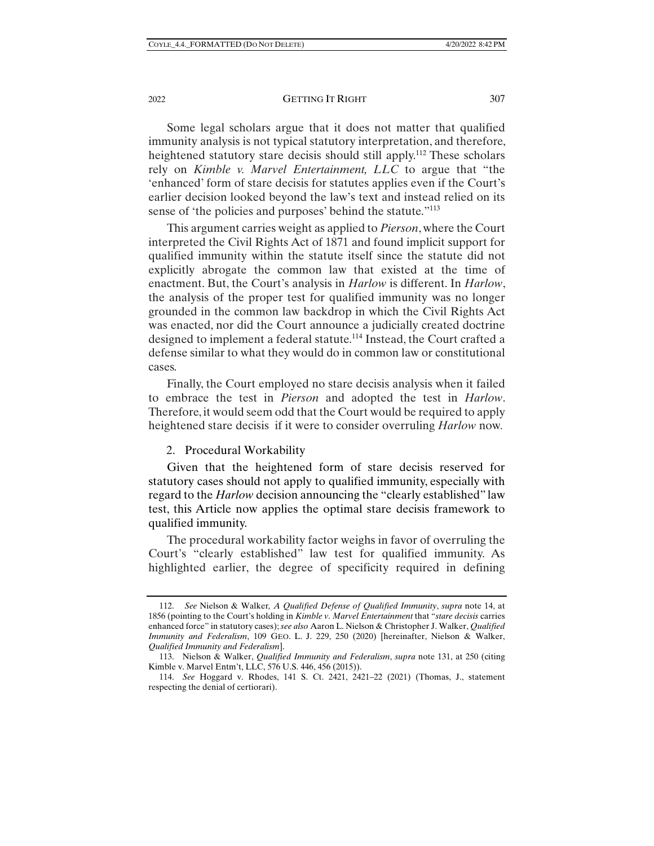#### 2022 **GETTING IT RIGHT** 307

Some legal scholars argue that it does not matter that qualified immunity analysis is not typical statutory interpretation, and therefore, heightened statutory stare decisis should still apply.<sup>112</sup> These scholars rely on *Kimble v. Marvel Entertainment, LLC* to argue that "the 'enhanced' form of stare decisis for statutes applies even if the Court's earlier decision looked beyond the law's text and instead relied on its sense of 'the policies and purposes' behind the statute."<sup>113</sup>

This argument carries weight as applied to *Pierson*, where the Court interpreted the Civil Rights Act of 1871 and found implicit support for qualified immunity within the statute itself since the statute did not explicitly abrogate the common law that existed at the time of enactment. But, the Court's analysis in *Harlow* is different. In *Harlow*, the analysis of the proper test for qualified immunity was no longer grounded in the common law backdrop in which the Civil Rights Act was enacted, nor did the Court announce a judicially created doctrine designed to implement a federal statute.<sup>114</sup> Instead, the Court crafted a defense similar to what they would do in common law or constitutional cases.

Finally, the Court employed no stare decisis analysis when it failed to embrace the test in *Pierson* and adopted the test in *Harlow*. Therefore, it would seem odd that the Court would be required to apply heightened stare decisis if it were to consider overruling *Harlow* now*.*

#### 2. Procedural Workability

Given that the heightened form of stare decisis reserved for statutory cases should not apply to qualified immunity, especially with regard to the *Harlow* decision announcing the "clearly established" law test, this Article now applies the optimal stare decisis framework to qualified immunity.

The procedural workability factor weighs in favor of overruling the Court's "clearly established" law test for qualified immunity. As highlighted earlier, the degree of specificity required in defining

 <sup>112.</sup> *See* Nielson & Walker*, A Qualified Defense of Qualified Immunity*, *supra* note 14, at 1856 (pointing to the Court's holding in *Kimble v. Marvel Entertainment* that "*stare decisis* carries enhanced force" in statutory cases); *see also* Aaron L. Nielson & Christopher J. Walker, *Qualified Immunity and Federalism*, 109 GEO. L. J. 229, 250 (2020) [hereinafter, Nielson & Walker, *Qualified Immunity and Federalism*].

 <sup>113.</sup> Nielson & Walker, *Qualified Immunity and Federalism*, *supra* note 131, at 250 (citing Kimble v. Marvel Entm't, LLC, 576 U.S. 446, 456 (2015)).

 <sup>114.</sup> *See* Hoggard v. Rhodes, 141 S. Ct. 2421, 2421–22 (2021) (Thomas, J., statement respecting the denial of certiorari).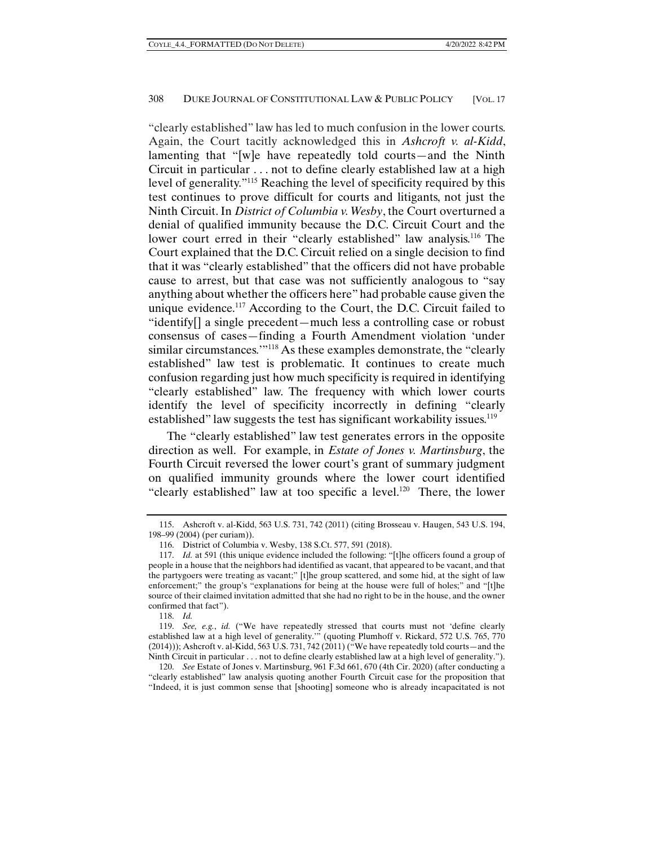"clearly established" law has led to much confusion in the lower courts. Again, the Court tacitly acknowledged this in *Ashcroft v. al-Kidd*, lamenting that "[w]e have repeatedly told courts—and the Ninth Circuit in particular . . . not to define clearly established law at a high level of generality."115 Reaching the level of specificity required by this test continues to prove difficult for courts and litigants, not just the Ninth Circuit. In *District of Columbia v. Wesby*, the Court overturned a denial of qualified immunity because the D.C. Circuit Court and the lower court erred in their "clearly established" law analysis.<sup>116</sup> The Court explained that the D.C. Circuit relied on a single decision to find that it was "clearly established" that the officers did not have probable cause to arrest, but that case was not sufficiently analogous to "say anything about whether the officers here" had probable cause given the unique evidence.<sup>117</sup> According to the Court, the D.C. Circuit failed to "identify[] a single precedent—much less a controlling case or robust consensus of cases—finding a Fourth Amendment violation 'under similar circumstances.<sup>'"118</sup> As these examples demonstrate, the "clearly established" law test is problematic. It continues to create much confusion regarding just how much specificity is required in identifying "clearly established" law. The frequency with which lower courts identify the level of specificity incorrectly in defining "clearly established" law suggests the test has significant workability issues.<sup>119</sup>

The "clearly established" law test generates errors in the opposite direction as well. For example, in *Estate of Jones v. Martinsburg*, the Fourth Circuit reversed the lower court's grant of summary judgment on qualified immunity grounds where the lower court identified "clearly established" law at too specific a level.<sup>120</sup> There, the lower

 <sup>115.</sup> Ashcroft v. al-Kidd, 563 U.S. 731, 742 (2011) (citing Brosseau v. Haugen, 543 U.S. 194, 198–99 (2004) (per curiam)).

 <sup>116.</sup> District of Columbia v. Wesby, 138 S.Ct. 577, 591 (2018).

 <sup>117.</sup> *Id.* at 591 (this unique evidence included the following: "[t]he officers found a group of people in a house that the neighbors had identified as vacant, that appeared to be vacant, and that the partygoers were treating as vacant;" [t]he group scattered, and some hid, at the sight of law enforcement;" the group's "explanations for being at the house were full of holes;" and "[t]he source of their claimed invitation admitted that she had no right to be in the house, and the owner confirmed that fact").

 <sup>118.</sup> *Id.* 

 <sup>119.</sup> *See, e.g.*, *id.* ("We have repeatedly stressed that courts must not 'define clearly established law at a high level of generality.'" (quoting Plumhoff v. Rickard, 572 U.S. 765, 770 (2014))); Ashcroft v. al-Kidd, 563 U.S. 731, 742 (2011) ("We have repeatedly told courts—and the Ninth Circuit in particular . . . not to define clearly established law at a high level of generality.").

 <sup>120.</sup> *See* Estate of Jones v. Martinsburg, 961 F.3d 661, 670 (4th Cir. 2020) (after conducting a "clearly established" law analysis quoting another Fourth Circuit case for the proposition that "Indeed, it is just common sense that [shooting] someone who is already incapacitated is not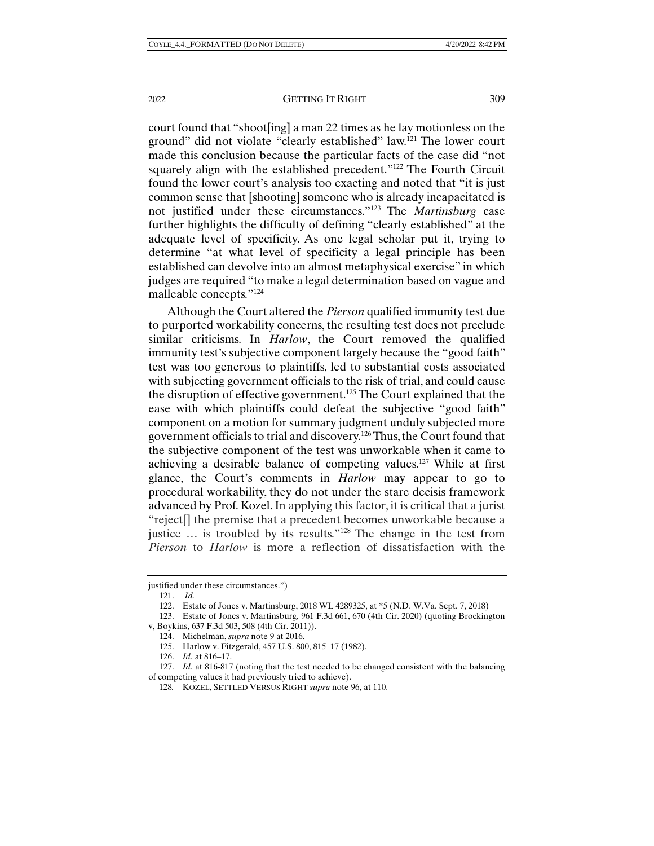court found that "shoot[ing] a man 22 times as he lay motionless on the ground" did not violate "clearly established" law.121 The lower court made this conclusion because the particular facts of the case did "not squarely align with the established precedent."122 The Fourth Circuit found the lower court's analysis too exacting and noted that "it is just common sense that [shooting] someone who is already incapacitated is not justified under these circumstances."123 The *Martinsburg* case further highlights the difficulty of defining "clearly established" at the adequate level of specificity. As one legal scholar put it, trying to determine "at what level of specificity a legal principle has been established can devolve into an almost metaphysical exercise" in which judges are required "to make a legal determination based on vague and malleable concepts."124

Although the Court altered the *Pierson* qualified immunity test due to purported workability concerns, the resulting test does not preclude similar criticisms. In *Harlow*, the Court removed the qualified immunity test's subjective component largely because the "good faith" test was too generous to plaintiffs, led to substantial costs associated with subjecting government officials to the risk of trial, and could cause the disruption of effective government.125 The Court explained that the ease with which plaintiffs could defeat the subjective "good faith" component on a motion for summary judgment unduly subjected more government officials to trial and discovery.126 Thus, the Court found that the subjective component of the test was unworkable when it came to achieving a desirable balance of competing values.127 While at first glance, the Court's comments in *Harlow* may appear to go to procedural workability, they do not under the stare decisis framework advanced by Prof. Kozel. In applying this factor, it is critical that a jurist "reject[] the premise that a precedent becomes unworkable because a justice … is troubled by its results."128 The change in the test from *Pierson* to *Harlow* is more a reflection of dissatisfaction with the

128*.* KOZEL, SETTLED VERSUS RIGHT *supra* note 96, at 110.

justified under these circumstances.")

 <sup>121.</sup> *Id.* 

 <sup>122.</sup> Estate of Jones v. Martinsburg, 2018 WL 4289325, at \*5 (N.D. W.Va. Sept. 7, 2018)

 <sup>123.</sup> Estate of Jones v. Martinsburg, 961 F.3d 661, 670 (4th Cir. 2020) (quoting Brockington v, Boykins, 637 F.3d 503, 508 (4th Cir. 2011)).

 <sup>124.</sup> Michelman, *supra* note 9 at 2016.

 <sup>125.</sup> Harlow v. Fitzgerald, 457 U.S. 800, 815–17 (1982).

 <sup>126.</sup> *Id.* at 816–17.

 <sup>127.</sup> *Id.* at 816-817 (noting that the test needed to be changed consistent with the balancing of competing values it had previously tried to achieve).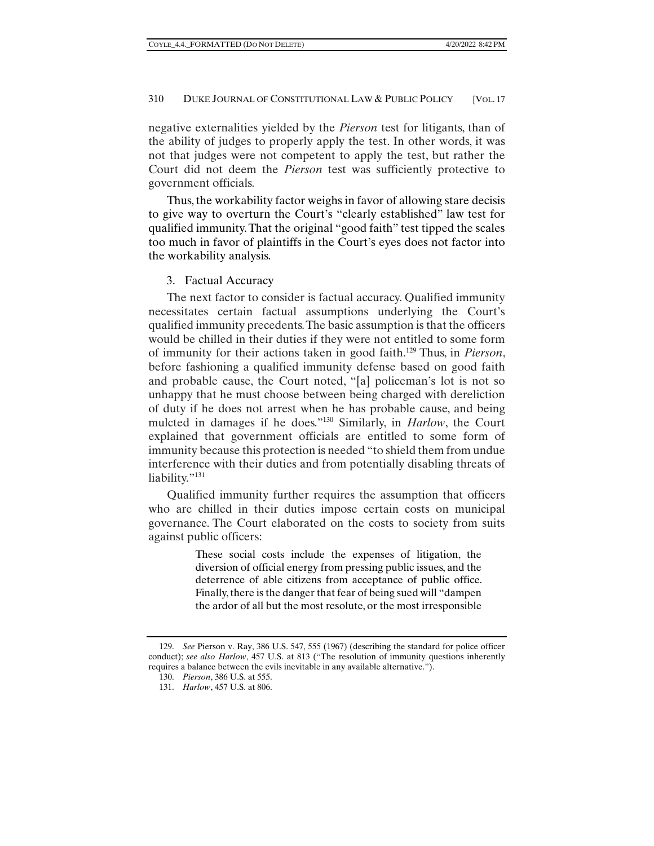negative externalities yielded by the *Pierson* test for litigants, than of the ability of judges to properly apply the test. In other words, it was not that judges were not competent to apply the test, but rather the Court did not deem the *Pierson* test was sufficiently protective to government officials.

Thus, the workability factor weighs in favor of allowing stare decisis to give way to overturn the Court's "clearly established" law test for qualified immunity. That the original "good faith" test tipped the scales too much in favor of plaintiffs in the Court's eyes does not factor into the workability analysis.

#### 3. Factual Accuracy

The next factor to consider is factual accuracy. Qualified immunity necessitates certain factual assumptions underlying the Court's qualified immunity precedents. The basic assumption is that the officers would be chilled in their duties if they were not entitled to some form of immunity for their actions taken in good faith.129 Thus, in *Pierson*, before fashioning a qualified immunity defense based on good faith and probable cause, the Court noted, "[a] policeman's lot is not so unhappy that he must choose between being charged with dereliction of duty if he does not arrest when he has probable cause, and being mulcted in damages if he does."130 Similarly, in *Harlow*, the Court explained that government officials are entitled to some form of immunity because this protection is needed "to shield them from undue interference with their duties and from potentially disabling threats of liability."<sup>131</sup>

Qualified immunity further requires the assumption that officers who are chilled in their duties impose certain costs on municipal governance. The Court elaborated on the costs to society from suits against public officers:

> These social costs include the expenses of litigation, the diversion of official energy from pressing public issues, and the deterrence of able citizens from acceptance of public office. Finally, there is the danger that fear of being sued will "dampen the ardor of all but the most resolute, or the most irresponsible

 <sup>129.</sup> *See* Pierson v. Ray, 386 U.S. 547, 555 (1967) (describing the standard for police officer conduct); *see also Harlow*, 457 U.S. at 813 ("The resolution of immunity questions inherently requires a balance between the evils inevitable in any available alternative.").

 <sup>130.</sup> *Pierson*, 386 U.S. at 555.

 <sup>131.</sup> *Harlow*, 457 U.S. at 806.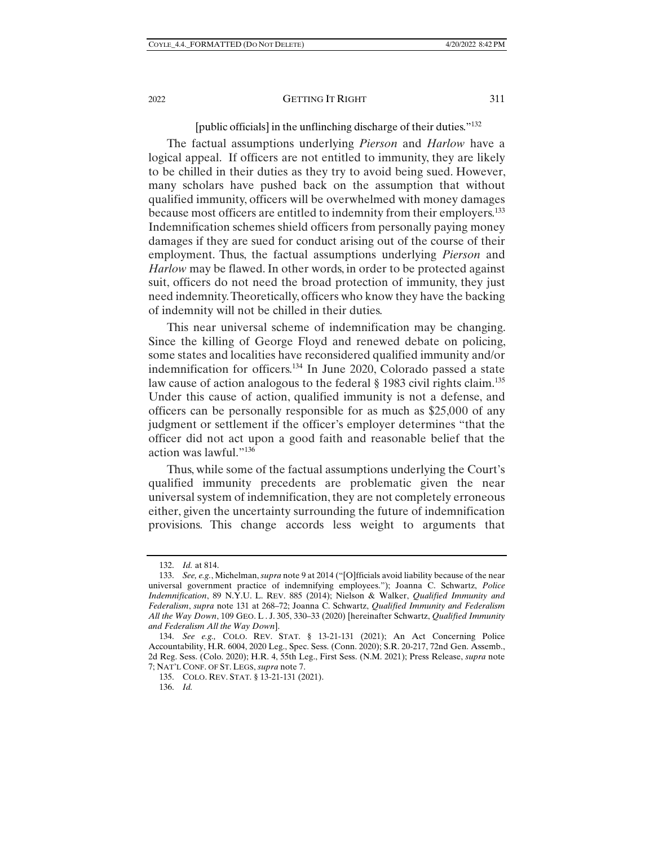#### [public officials] in the unflinching discharge of their duties."132

The factual assumptions underlying *Pierson* and *Harlow* have a logical appeal. If officers are not entitled to immunity, they are likely to be chilled in their duties as they try to avoid being sued. However, many scholars have pushed back on the assumption that without qualified immunity, officers will be overwhelmed with money damages because most officers are entitled to indemnity from their employers.133 Indemnification schemes shield officers from personally paying money damages if they are sued for conduct arising out of the course of their employment. Thus, the factual assumptions underlying *Pierson* and *Harlow* may be flawed. In other words, in order to be protected against suit, officers do not need the broad protection of immunity, they just need indemnity. Theoretically, officers who know they have the backing of indemnity will not be chilled in their duties.

This near universal scheme of indemnification may be changing. Since the killing of George Floyd and renewed debate on policing, some states and localities have reconsidered qualified immunity and/or indemnification for officers.134 In June 2020, Colorado passed a state law cause of action analogous to the federal § 1983 civil rights claim.<sup>135</sup> Under this cause of action, qualified immunity is not a defense, and officers can be personally responsible for as much as \$25,000 of any judgment or settlement if the officer's employer determines "that the officer did not act upon a good faith and reasonable belief that the action was lawful."136

Thus, while some of the factual assumptions underlying the Court's qualified immunity precedents are problematic given the near universal system of indemnification, they are not completely erroneous either, given the uncertainty surrounding the future of indemnification provisions. This change accords less weight to arguments that

 <sup>132.</sup> *Id.* at 814.

 <sup>133.</sup> *See, e.g.*, Michelman, *supra* note 9 at 2014 ("[O]fficials avoid liability because of the near universal government practice of indemnifying employees."); Joanna C. Schwartz, *Police Indemnification*, 89 N.Y.U. L. REV. 885 (2014); Nielson & Walker, *Qualified Immunity and Federalism*, *supra* note 131 at 268–72; Joanna C. Schwartz, *Qualified Immunity and Federalism All the Way Down*, 109 GEO. L . J. 305, 330–33 (2020) [hereinafter Schwartz, *Qualified Immunity and Federalism All the Way Down*].

 <sup>134.</sup> *See e.g.,* COLO. REV. STAT. § 13-21-131 (2021); An Act Concerning Police Accountability, H.R. 6004, 2020 Leg., Spec. Sess. (Conn. 2020); S.R. 20-217, 72nd Gen. Assemb., 2d Reg. Sess. (Colo. 2020); H.R. 4, 55th Leg., First Sess. (N.M. 2021); Press Release, *supra* note 7; NAT'L CONF. OF ST. LEGS, *supra* note 7.

 <sup>135.</sup> COLO. REV. STAT. § 13-21-131 (2021).

 <sup>136.</sup> *Id.*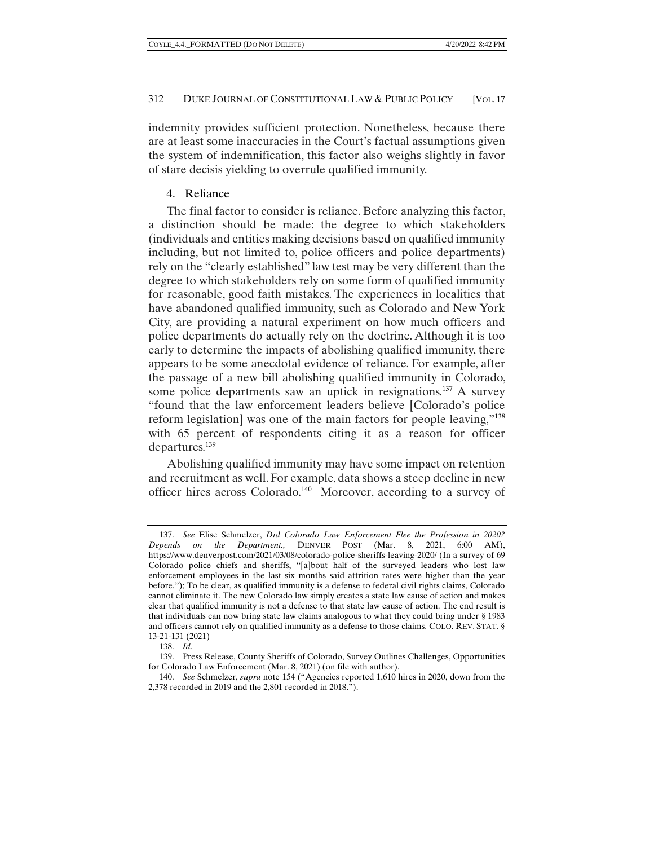indemnity provides sufficient protection. Nonetheless, because there are at least some inaccuracies in the Court's factual assumptions given the system of indemnification, this factor also weighs slightly in favor of stare decisis yielding to overrule qualified immunity.

#### 4. Reliance

The final factor to consider is reliance. Before analyzing this factor, a distinction should be made: the degree to which stakeholders (individuals and entities making decisions based on qualified immunity including, but not limited to, police officers and police departments) rely on the "clearly established" law test may be very different than the degree to which stakeholders rely on some form of qualified immunity for reasonable, good faith mistakes. The experiences in localities that have abandoned qualified immunity, such as Colorado and New York City, are providing a natural experiment on how much officers and police departments do actually rely on the doctrine. Although it is too early to determine the impacts of abolishing qualified immunity, there appears to be some anecdotal evidence of reliance. For example, after the passage of a new bill abolishing qualified immunity in Colorado, some police departments saw an uptick in resignations.<sup>137</sup> A survey "found that the law enforcement leaders believe [Colorado's police reform legislation] was one of the main factors for people leaving,"138 with 65 percent of respondents citing it as a reason for officer departures.<sup>139</sup>

Abolishing qualified immunity may have some impact on retention and recruitment as well. For example, data shows a steep decline in new officer hires across Colorado.140 Moreover, according to a survey of

 <sup>137.</sup> *See* Elise Schmelzer, *Did Colorado Law Enforcement Flee the Profession in 2020? Depends on the Department.,* DENVER POST (Mar. 8, 2021, 6:00 AM), https://www.denverpost.com/2021/03/08/colorado-police-sheriffs-leaving-2020/ (In a survey of 69 Colorado police chiefs and sheriffs, "[a]bout half of the surveyed leaders who lost law enforcement employees in the last six months said attrition rates were higher than the year before."); To be clear, as qualified immunity is a defense to federal civil rights claims, Colorado cannot eliminate it. The new Colorado law simply creates a state law cause of action and makes clear that qualified immunity is not a defense to that state law cause of action. The end result is that individuals can now bring state law claims analogous to what they could bring under § 1983 and officers cannot rely on qualified immunity as a defense to those claims. COLO. REV. STAT. § 13-21-131 (2021)

 <sup>138.</sup> *Id.* 

 <sup>139.</sup> Press Release, County Sheriffs of Colorado, Survey Outlines Challenges, Opportunities for Colorado Law Enforcement (Mar. 8, 2021) (on file with author).

 <sup>140.</sup> *See* Schmelzer, *supra* note 154 ("Agencies reported 1,610 hires in 2020, down from the 2,378 recorded in 2019 and the 2,801 recorded in 2018.").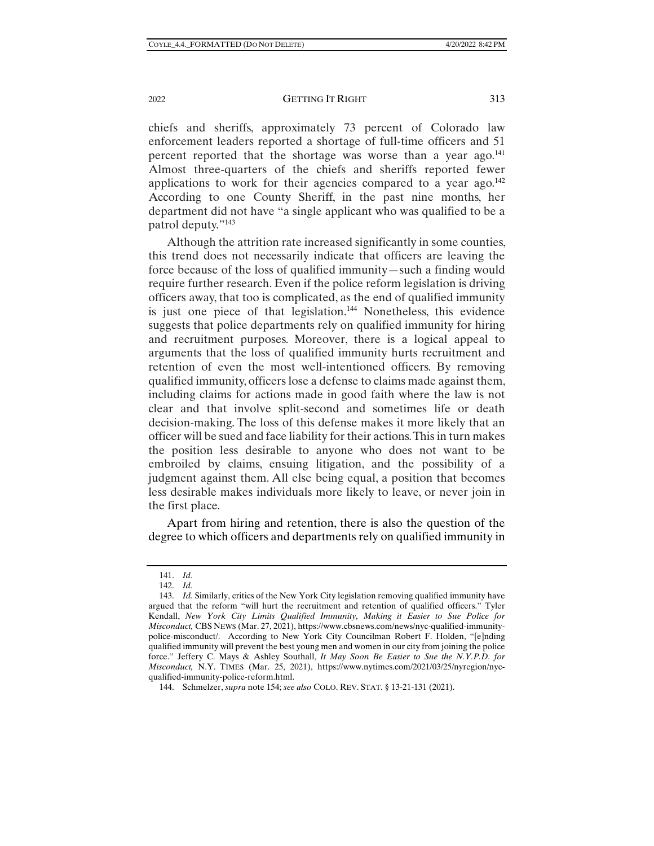2022 **GETTING IT RIGHT** 313

chiefs and sheriffs, approximately 73 percent of Colorado law enforcement leaders reported a shortage of full-time officers and 51 percent reported that the shortage was worse than a year ago. $^{141}$ Almost three-quarters of the chiefs and sheriffs reported fewer applications to work for their agencies compared to a year  $ago^{142}$ According to one County Sheriff, in the past nine months, her department did not have "a single applicant who was qualified to be a patrol deputy."143

Although the attrition rate increased significantly in some counties, this trend does not necessarily indicate that officers are leaving the force because of the loss of qualified immunity—such a finding would require further research. Even if the police reform legislation is driving officers away, that too is complicated, as the end of qualified immunity is just one piece of that legislation.<sup>144</sup> Nonetheless, this evidence suggests that police departments rely on qualified immunity for hiring and recruitment purposes. Moreover, there is a logical appeal to arguments that the loss of qualified immunity hurts recruitment and retention of even the most well-intentioned officers. By removing qualified immunity, officers lose a defense to claims made against them, including claims for actions made in good faith where the law is not clear and that involve split-second and sometimes life or death decision-making. The loss of this defense makes it more likely that an officer will be sued and face liability for their actions. This in turn makes the position less desirable to anyone who does not want to be embroiled by claims, ensuing litigation, and the possibility of a judgment against them. All else being equal, a position that becomes less desirable makes individuals more likely to leave, or never join in the first place.

Apart from hiring and retention, there is also the question of the degree to which officers and departments rely on qualified immunity in

 <sup>141.</sup> *Id.* 

 <sup>142.</sup> *Id.* 

 <sup>143.</sup> *Id.* Similarly, critics of the New York City legislation removing qualified immunity have argued that the reform "will hurt the recruitment and retention of qualified officers." Tyler Kendall, *New York City Limits Qualified Immunity, Making it Easier to Sue Police for Misconduct,* CBS NEWS (Mar. 27, 2021), https://www.cbsnews.com/news/nyc-qualified-immunitypolice-misconduct/. According to New York City Councilman Robert F. Holden, "[e]nding qualified immunity will prevent the best young men and women in our city from joining the police force." Jeffery C. Mays & Ashley Southall, *It May Soon Be Easier to Sue the N.Y.P.D. for Misconduct,* N.Y. TIMES (Mar. 25, 2021), https://www.nytimes.com/2021/03/25/nyregion/nycqualified-immunity-police-reform.html.

 <sup>144.</sup> Schmelzer, *supra* note 154; *see also* COLO. REV. STAT. § 13-21-131 (2021).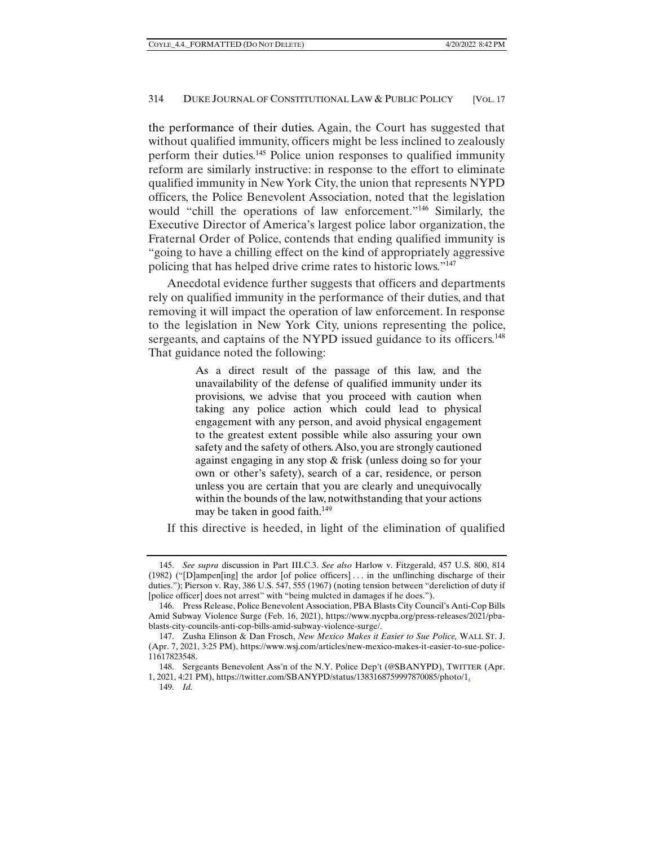the performance of their duties. Again, the Court has suggested that without qualified immunity, officers might be less inclined to zealously perform their duties.145 Police union responses to qualified immunity reform are similarly instructive: in response to the effort to eliminate qualified immunity in New York City, the union that represents NYPD officers, the Police Benevolent Association, noted that the legislation would "chill the operations of law enforcement."146 Similarly, the Executive Director of America's largest police labor organization, the Fraternal Order of Police, contends that ending qualified immunity is "going to have a chilling effect on the kind of appropriately aggressive policing that has helped drive crime rates to historic lows."147

Anecdotal evidence further suggests that officers and departments rely on qualified immunity in the performance of their duties, and that removing it will impact the operation of law enforcement. In response to the legislation in New York City, unions representing the police, sergeants, and captains of the NYPD issued guidance to its officers.<sup>148</sup> That guidance noted the following:

> As a direct result of the passage of this law, and the unavailability of the defense of qualified immunity under its provisions, we advise that you proceed with caution when taking any police action which could lead to physical engagement with any person, and avoid physical engagement to the greatest extent possible while also assuring your own safety and the safety of others. Also, you are strongly cautioned against engaging in any stop & frisk (unless doing so for your own or other's safety), search of a car, residence, or person unless you are certain that you are clearly and unequivocally within the bounds of the law, notwithstanding that your actions may be taken in good faith.<sup>149</sup>

If this directive is heeded, in light of the elimination of qualified

 <sup>145.</sup> *See supra* discussion in Part III.C.3. *See also* Harlow v. Fitzgerald, 457 U.S. 800, 814 (1982) ("[D]ampen[ing] the ardor [of police officers] . . . in the unflinching discharge of their duties."); Pierson v. Ray, 386 U.S. 547, 555 (1967) (noting tension between "dereliction of duty if [police officer] does not arrest" with "being mulcted in damages if he does.").

 <sup>146.</sup> Press Release, Police Benevolent Association, PBA Blasts City Council's Anti-Cop Bills Amid Subway Violence Surge (Feb. 16, 2021), https://www.nycpba.org/press-releases/2021/pbablasts-city-councils-anti-cop-bills-amid-subway-violence-surge/.

 <sup>147.</sup> Zusha Elinson & Dan Frosch, *New Mexico Makes it Easier to Sue Police,* WALL ST. J. (Apr. 7, 2021, 3:25 PM), https://www.wsj.com/articles/new-mexico-makes-it-easier-to-sue-police-11617823548.

 <sup>148.</sup> Sergeants Benevolent Ass'n of the N.Y. Police Dep't (@SBANYPD), TWITTER (Apr. 1, 2021, 4:21 PM), https://twitter.com/SBANYPD/status/1383168759997870085/photo/1.

 <sup>149.</sup> *Id.*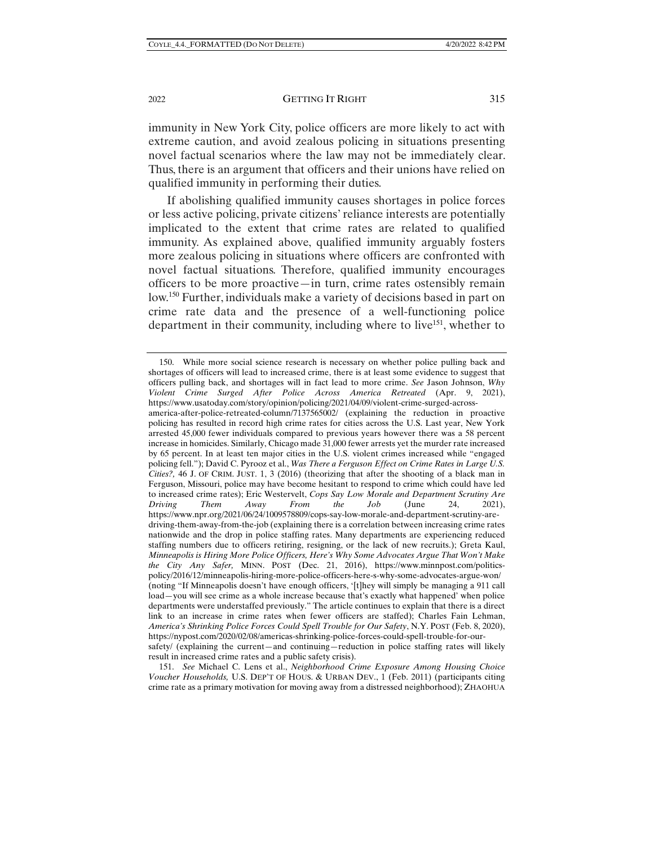immunity in New York City, police officers are more likely to act with extreme caution, and avoid zealous policing in situations presenting novel factual scenarios where the law may not be immediately clear. Thus, there is an argument that officers and their unions have relied on qualified immunity in performing their duties.

If abolishing qualified immunity causes shortages in police forces or less active policing, private citizens' reliance interests are potentially implicated to the extent that crime rates are related to qualified immunity. As explained above, qualified immunity arguably fosters more zealous policing in situations where officers are confronted with novel factual situations. Therefore, qualified immunity encourages officers to be more proactive—in turn, crime rates ostensibly remain low.150 Further, individuals make a variety of decisions based in part on crime rate data and the presence of a well-functioning police department in their community, including where to live<sup>151</sup>, whether to

america-after-police-retreated-column/7137565002/ (explaining the reduction in proactive policing has resulted in record high crime rates for cities across the U.S. Last year, New York arrested 45,000 fewer individuals compared to previous years however there was a 58 percent increase in homicides. Similarly, Chicago made 31,000 fewer arrests yet the murder rate increased by 65 percent. In at least ten major cities in the U.S. violent crimes increased while "engaged policing fell."); David C. Pyrooz et al., *Was There a Ferguson Effect on Crime Rates in Large U.S. Cities?,* 46 J. OF CRIM. JUST. 1, 3 (2016) (theorizing that after the shooting of a black man in Ferguson, Missouri, police may have become hesitant to respond to crime which could have led to increased crime rates); Eric Westervelt, *Cops Say Low Morale and Department Scrutiny Are Driving Them Away From the Job* (June 24, 2021), https://www.npr.org/2021/06/24/1009578809/cops-say-low-morale-and-department-scrutiny-aredriving-them-away-from-the-job (explaining there is a correlation between increasing crime rates nationwide and the drop in police staffing rates. Many departments are experiencing reduced staffing numbers due to officers retiring, resigning, or the lack of new recruits.); Greta Kaul, *Minneapolis is Hiring More Police Officers, Here's Why Some Advocates Argue That Won't Make the City Any Safer,* MINN. POST (Dec. 21, 2016), https://www.minnpost.com/politicspolicy/2016/12/minneapolis-hiring-more-police-officers-here-s-why-some-advocates-argue-won/ (noting "If Minneapolis doesn't have enough officers, '[t]hey will simply be managing a 911 call load—you will see crime as a whole increase because that's exactly what happened' when police departments were understaffed previously." The article continues to explain that there is a direct link to an increase in crime rates when fewer officers are staffed); Charles Fain Lehman, *America's Shrinking Police Forces Could Spell Trouble for Our Safety*, N.Y. POST (Feb. 8, 2020), https://nypost.com/2020/02/08/americas-shrinking-police-forces-could-spell-trouble-for-oursafety/ (explaining the current—and continuing—reduction in police staffing rates will likely result in increased crime rates and a public safety crisis).

 <sup>150.</sup> While more social science research is necessary on whether police pulling back and shortages of officers will lead to increased crime, there is at least some evidence to suggest that officers pulling back, and shortages will in fact lead to more crime. *See* Jason Johnson, *Why Violent Crime Surged After Police Across America Retreated* (Apr. 9, 2021), https://www.usatoday.com/story/opinion/policing/2021/04/09/violent-crime-surged-across-

 <sup>151.</sup> *See* Michael C. Lens et al., *Neighborhood Crime Exposure Among Housing Choice Voucher Households,* U.S. DEP'T OF HOUS. & URBAN DEV., 1 (Feb. 2011) (participants citing crime rate as a primary motivation for moving away from a distressed neighborhood); ZHAOHUA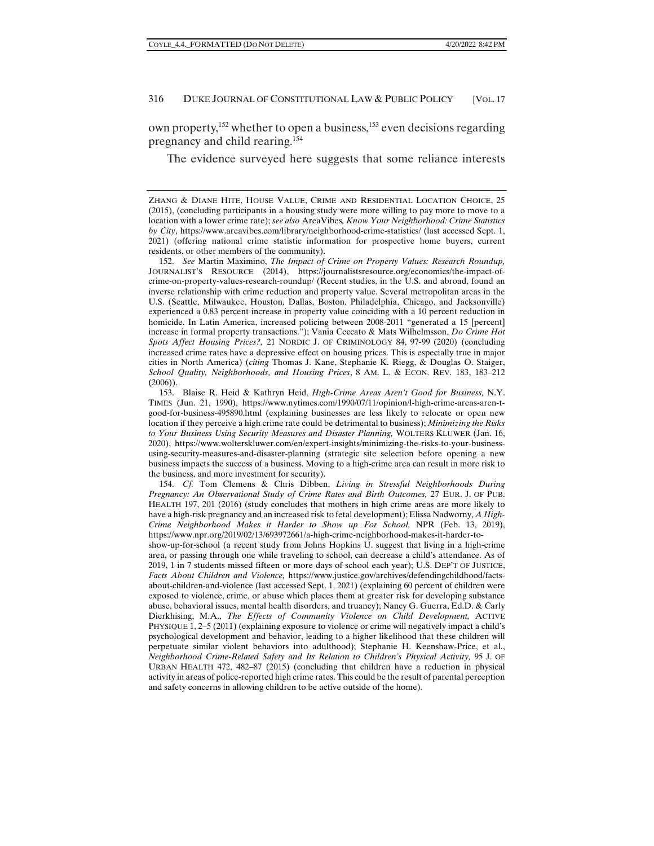own property,<sup>152</sup> whether to open a business,<sup>153</sup> even decisions regarding pregnancy and child rearing.154

The evidence surveyed here suggests that some reliance interests

ZHANG & DIANE HITE, HOUSE VALUE, CRIME AND RESIDENTIAL LOCATION CHOICE, 25 (2015), (concluding participants in a housing study were more willing to pay more to move to a location with a lower crime rate); *see also* AreaVibes*, Know Your Neighborhood: Crime Statistics by City*, https://www.areavibes.com/library/neighborhood-crime-statistics/ (last accessed Sept. 1, 2021) (offering national crime statistic information for prospective home buyers, current residents, or other members of the community).

 <sup>152.</sup> *See* Martin Maximino, *The Impact of Crime on Property Values: Research Roundup,*  JOURNALIST'S RESOURCE (2014), https://journalistsresource.org/economics/the-impact-ofcrime-on-property-values-research-roundup/ (Recent studies, in the U.S. and abroad, found an inverse relationship with crime reduction and property value. Several metropolitan areas in the U.S. (Seattle, Milwaukee, Houston, Dallas, Boston, Philadelphia, Chicago, and Jacksonville) experienced a 0.83 percent increase in property value coinciding with a 10 percent reduction in homicide. In Latin America, increased policing between 2008-2011 "generated a 15 [percent] increase in formal property transactions."); Vania Ceccato & Mats Wilhelmsson, *Do Crime Hot Spots Affect Housing Prices?,* 21 NORDIC J. OF CRIMINOLOGY 84, 97-99 (2020) (concluding increased crime rates have a depressive effect on housing prices. This is especially true in major cities in North America) (*citing* Thomas J. Kane, Stephanie K. Riegg, & Douglas O. Staiger, *School Quality, Neighborhoods, and Housing Prices*, 8 AM. L. & ECON. REV. 183, 183–212 (2006)).

 <sup>153.</sup> Blaise R. Heid & Kathryn Heid, *High-Crime Areas Aren't Good for Business,* N.Y. TIMES (Jun. 21, 1990), https://www.nytimes.com/1990/07/11/opinion/l-high-crime-areas-aren-tgood-for-business-495890.html (explaining businesses are less likely to relocate or open new location if they perceive a high crime rate could be detrimental to business); *Minimizing the Risks to Your Business Using Security Measures and Disaster Planning,* WOLTERS KLUWER (Jan. 16, 2020), https://www.wolterskluwer.com/en/expert-insights/minimizing-the-risks-to-your-businessusing-security-measures-and-disaster-planning (strategic site selection before opening a new business impacts the success of a business. Moving to a high-crime area can result in more risk to the business, and more investment for security).

 <sup>154.</sup> *Cf.* Tom Clemens & Chris Dibben, *Living in Stressful Neighborhoods During Pregnancy: An Observational Study of Crime Rates and Birth Outcomes,* 27 EUR. J. OF PUB. HEALTH 197, 201 (2016) (study concludes that mothers in high crime areas are more likely to have a high-risk pregnancy and an increased risk to fetal development); Elissa Nadworny, *A High-Crime Neighborhood Makes it Harder to Show up For School,* NPR (Feb. 13, 2019), https://www.npr.org/2019/02/13/693972661/a-high-crime-neighborhood-makes-it-harder-to-

show-up-for-school (a recent study from Johns Hopkins U. suggest that living in a high-crime area, or passing through one while traveling to school, can decrease a child's attendance. As of 2019, 1 in 7 students missed fifteen or more days of school each year); U.S. DEP'T OF JUSTICE, *Facts About Children and Violence,* https://www.justice.gov/archives/defendingchildhood/factsabout-children-and-violence (last accessed Sept. 1, 2021) (explaining 60 percent of children were exposed to violence, crime, or abuse which places them at greater risk for developing substance abuse, behavioral issues, mental health disorders, and truancy); Nancy G. Guerra, Ed.D. & Carly Dierkhising, M.A., *The Effects of Community Violence on Child Development,* ACTIVE PHYSIQUE 1, 2–5 (2011) (explaining exposure to violence or crime will negatively impact a child's psychological development and behavior, leading to a higher likelihood that these children will perpetuate similar violent behaviors into adulthood); Stephanie H. Keenshaw-Price, et al., *Neighborhood Crime-Related Safety and Its Relation to Children's Physical Activity,* 95 J. OF URBAN HEALTH 472, 482–87 (2015) (concluding that children have a reduction in physical activity in areas of police-reported high crime rates. This could be the result of parental perception and safety concerns in allowing children to be active outside of the home).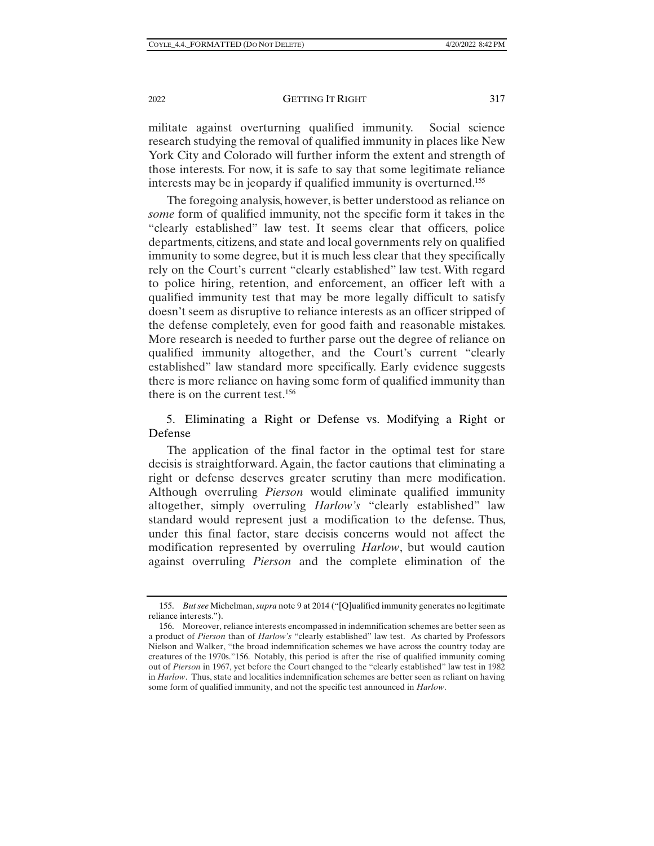#### 2022 **GETTING IT RIGHT** 317

militate against overturning qualified immunity. Social science research studying the removal of qualified immunity in places like New York City and Colorado will further inform the extent and strength of those interests. For now, it is safe to say that some legitimate reliance interests may be in jeopardy if qualified immunity is overturned.155

The foregoing analysis, however, is better understood as reliance on *some* form of qualified immunity, not the specific form it takes in the "clearly established" law test. It seems clear that officers, police departments, citizens, and state and local governments rely on qualified immunity to some degree, but it is much less clear that they specifically rely on the Court's current "clearly established" law test. With regard to police hiring, retention, and enforcement, an officer left with a qualified immunity test that may be more legally difficult to satisfy doesn't seem as disruptive to reliance interests as an officer stripped of the defense completely, even for good faith and reasonable mistakes. More research is needed to further parse out the degree of reliance on qualified immunity altogether, and the Court's current "clearly established" law standard more specifically. Early evidence suggests there is more reliance on having some form of qualified immunity than there is on the current test.<sup>156</sup>

# 5. Eliminating a Right or Defense vs. Modifying a Right or Defense

The application of the final factor in the optimal test for stare decisis is straightforward. Again, the factor cautions that eliminating a right or defense deserves greater scrutiny than mere modification. Although overruling *Pierson* would eliminate qualified immunity altogether, simply overruling *Harlow's* "clearly established" law standard would represent just a modification to the defense. Thus, under this final factor, stare decisis concerns would not affect the modification represented by overruling *Harlow*, but would caution against overruling *Pierson* and the complete elimination of the

 <sup>155.</sup> *But see* Michelman, *supra* note 9 at 2014 ("[Q]ualified immunity generates no legitimate reliance interests.").

 <sup>156.</sup> Moreover, reliance interests encompassed in indemnification schemes are better seen as a product of *Pierson* than of *Harlow's* "clearly established" law test. As charted by Professors Nielson and Walker, "the broad indemnification schemes we have across the country today are creatures of the 1970s."156. Notably, this period is after the rise of qualified immunity coming out of *Pierson* in 1967, yet before the Court changed to the "clearly established" law test in 1982 in *Harlow*. Thus, state and localities indemnification schemes are better seen as reliant on having some form of qualified immunity, and not the specific test announced in *Harlow*.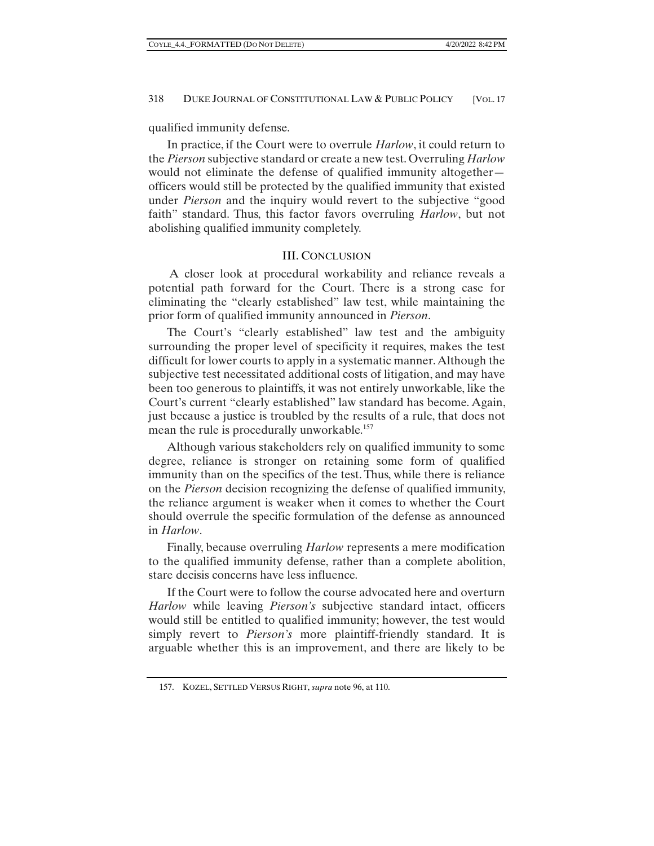qualified immunity defense.

In practice, if the Court were to overrule *Harlow*, it could return to the *Pierson* subjective standard or create a new test. Overruling *Harlow* would not eliminate the defense of qualified immunity altogether officers would still be protected by the qualified immunity that existed under *Pierson* and the inquiry would revert to the subjective "good faith" standard. Thus, this factor favors overruling *Harlow*, but not abolishing qualified immunity completely.

## III. CONCLUSION

 A closer look at procedural workability and reliance reveals a potential path forward for the Court. There is a strong case for eliminating the "clearly established" law test, while maintaining the prior form of qualified immunity announced in *Pierson*.

The Court's "clearly established" law test and the ambiguity surrounding the proper level of specificity it requires, makes the test difficult for lower courts to apply in a systematic manner. Although the subjective test necessitated additional costs of litigation, and may have been too generous to plaintiffs, it was not entirely unworkable, like the Court's current "clearly established" law standard has become. Again, just because a justice is troubled by the results of a rule, that does not mean the rule is procedurally unworkable.<sup>157</sup>

Although various stakeholders rely on qualified immunity to some degree, reliance is stronger on retaining some form of qualified immunity than on the specifics of the test. Thus, while there is reliance on the *Pierson* decision recognizing the defense of qualified immunity, the reliance argument is weaker when it comes to whether the Court should overrule the specific formulation of the defense as announced in *Harlow*.

Finally, because overruling *Harlow* represents a mere modification to the qualified immunity defense, rather than a complete abolition, stare decisis concerns have less influence.

If the Court were to follow the course advocated here and overturn *Harlow* while leaving *Pierson's* subjective standard intact, officers would still be entitled to qualified immunity; however, the test would simply revert to *Pierson's* more plaintiff-friendly standard. It is arguable whether this is an improvement, and there are likely to be

 <sup>157.</sup> KOZEL, SETTLED VERSUS RIGHT, *supra* note 96, at 110.